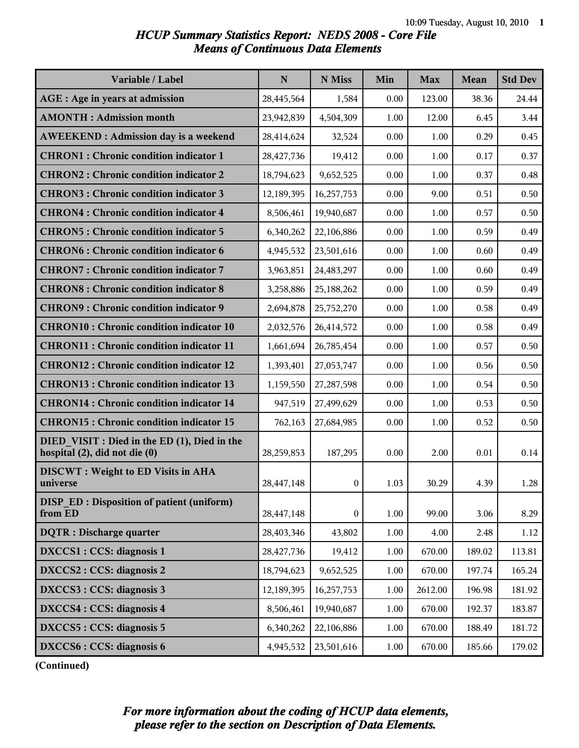### *HCUP Summary Statistics Report: NEDS 2008 - Core File Means of Continuous Data Elements*

| Variable / Label                                                              | N          | N Miss           | Min      | <b>Max</b> | <b>Mean</b> | <b>Std Dev</b> |
|-------------------------------------------------------------------------------|------------|------------------|----------|------------|-------------|----------------|
| AGE : Age in years at admission                                               | 28,445,564 | 1,584            | 0.00     | 123.00     | 38.36       | 24.44          |
| <b>AMONTH: Admission month</b>                                                | 23,942,839 | 4,504,309        | 1.00     | 12.00      | 6.45        | 3.44           |
| <b>AWEEKEND: Admission day is a weekend</b>                                   | 28,414,624 | 32,524           | 0.00     | 1.00       | 0.29        | 0.45           |
| <b>CHRON1</b> : Chronic condition indicator 1                                 | 28,427,736 | 19,412           | 0.00     | 1.00       | 0.17        | 0.37           |
| <b>CHRON2: Chronic condition indicator 2</b>                                  | 18,794,623 | 9,652,525        | 0.00     | 1.00       | 0.37        | 0.48           |
| <b>CHRON3: Chronic condition indicator 3</b>                                  | 12,189,395 | 16,257,753       | 0.00     | 9.00       | 0.51        | 0.50           |
| <b>CHRON4: Chronic condition indicator 4</b>                                  | 8,506,461  | 19,940,687       | 0.00     | 1.00       | 0.57        | 0.50           |
| <b>CHRON5: Chronic condition indicator 5</b>                                  | 6,340,262  | 22,106,886       | 0.00     | 1.00       | 0.59        | 0.49           |
| <b>CHRON6: Chronic condition indicator 6</b>                                  | 4,945,532  | 23,501,616       | 0.00     | 1.00       | 0.60        | 0.49           |
| <b>CHRON7: Chronic condition indicator 7</b>                                  | 3,963,851  | 24,483,297       | 0.00     | 1.00       | 0.60        | 0.49           |
| <b>CHRON8: Chronic condition indicator 8</b>                                  | 3,258,886  | 25,188,262       | 0.00     | 1.00       | 0.59        | 0.49           |
| <b>CHRON9: Chronic condition indicator 9</b>                                  | 2,694,878  | 25,752,270       | 0.00     | 1.00       | 0.58        | 0.49           |
| <b>CHRON10: Chronic condition indicator 10</b>                                | 2,032,576  | 26,414,572       | 0.00     | 1.00       | 0.58        | 0.49           |
| <b>CHRON11: Chronic condition indicator 11</b>                                | 1,661,694  | 26,785,454       | 0.00     | 1.00       | 0.57        | 0.50           |
| <b>CHRON12: Chronic condition indicator 12</b>                                | 1,393,401  | 27,053,747       | 0.00     | 1.00       | 0.56        | 0.50           |
| <b>CHRON13: Chronic condition indicator 13</b>                                | 1,159,550  | 27,287,598       | 0.00     | 1.00       | 0.54        | 0.50           |
| <b>CHRON14 : Chronic condition indicator 14</b>                               | 947,519    | 27,499,629       | 0.00     | 1.00       | 0.53        | 0.50           |
| <b>CHRON15: Chronic condition indicator 15</b>                                | 762,163    | 27,684,985       | 0.00     | 1.00       | 0.52        | 0.50           |
| DIED VISIT : Died in the ED (1), Died in the<br>hospital (2), did not die (0) | 28,259,853 | 187,295          | 0.00     | 2.00       | 0.01        | 0.14           |
| <b>DISCWT</b> : Weight to ED Visits in AHA<br>universe                        | 28,447,148 | $\bf{0}$         | 1.03     | 30.29      | 4.39        | 1.28           |
| <b>DISP ED: Disposition of patient (uniform)</b><br>from ED                   | 28,447,148 | $\boldsymbol{0}$ | 1.00     | 99.00      | 3.06        | 8.29           |
| <b>DQTR</b> : Discharge quarter                                               | 28,403,346 | 43,802           | 1.00     | 4.00       | 2.48        | 1.12           |
| DXCCS1 : CCS: diagnosis 1                                                     | 28,427,736 | 19,412           | 1.00     | 670.00     | 189.02      | 113.81         |
| DXCCS2 : CCS: diagnosis 2                                                     | 18,794,623 | 9,652,525        | 1.00     | 670.00     | 197.74      | 165.24         |
| DXCCS3 : CCS: diagnosis 3                                                     | 12,189,395 | 16,257,753       | $1.00\,$ | 2612.00    | 196.98      | 181.92         |
| DXCCS4 : CCS: diagnosis 4                                                     | 8,506,461  | 19,940,687       | 1.00     | 670.00     | 192.37      | 183.87         |
| DXCCS5 : CCS: diagnosis 5                                                     | 6,340,262  | 22,106,886       | 1.00     | 670.00     | 188.49      | 181.72         |
| DXCCS6 : CCS: diagnosis 6                                                     | 4,945,532  | 23,501,616       | 1.00     | 670.00     | 185.66      | 179.02         |

**(Continued)**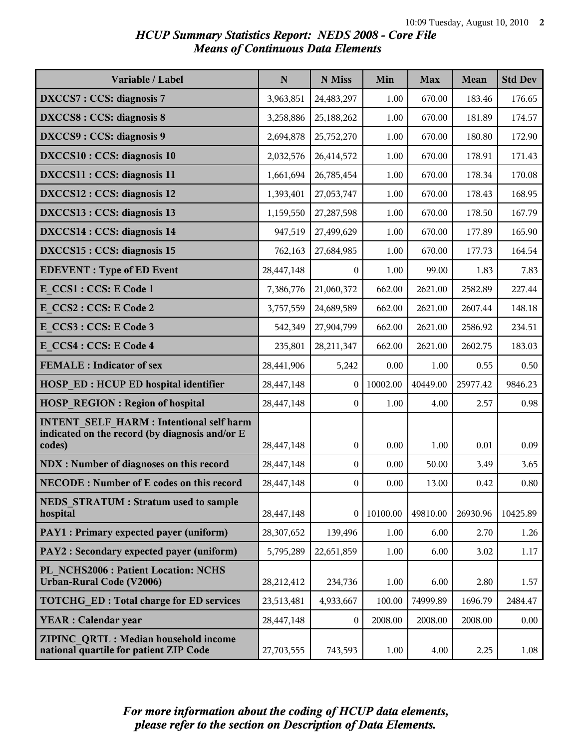## *HCUP Summary Statistics Report: NEDS 2008 - Core File Means of Continuous Data Elements*

| Variable / Label                                                                                           | $\mathbf N$ | N Miss           | Min      | <b>Max</b> | Mean     | <b>Std Dev</b> |
|------------------------------------------------------------------------------------------------------------|-------------|------------------|----------|------------|----------|----------------|
| DXCCS7: CCS: diagnosis 7                                                                                   | 3,963,851   | 24,483,297       | 1.00     | 670.00     | 183.46   | 176.65         |
| <b>DXCCS8: CCS: diagnosis 8</b>                                                                            | 3,258,886   | 25,188,262       | 1.00     | 670.00     | 181.89   | 174.57         |
| DXCCS9: CCS: diagnosis 9                                                                                   | 2,694,878   | 25,752,270       | 1.00     | 670.00     | 180.80   | 172.90         |
| DXCCS10 : CCS: diagnosis 10                                                                                | 2,032,576   | 26,414,572       | 1.00     | 670.00     | 178.91   | 171.43         |
| DXCCS11 : CCS: diagnosis 11                                                                                | 1,661,694   | 26,785,454       | 1.00     | 670.00     | 178.34   | 170.08         |
| DXCCS12 : CCS: diagnosis 12                                                                                | 1,393,401   | 27,053,747       | 1.00     | 670.00     | 178.43   | 168.95         |
| DXCCS13 : CCS: diagnosis 13                                                                                | 1,159,550   | 27,287,598       | 1.00     | 670.00     | 178.50   | 167.79         |
| DXCCS14 : CCS: diagnosis 14                                                                                | 947,519     | 27,499,629       | 1.00     | 670.00     | 177.89   | 165.90         |
| DXCCS15 : CCS: diagnosis 15                                                                                | 762,163     | 27,684,985       | 1.00     | 670.00     | 177.73   | 164.54         |
| <b>EDEVENT</b> : Type of ED Event                                                                          | 28,447,148  | $\mathbf{0}$     | 1.00     | 99.00      | 1.83     | 7.83           |
| E CCS1 : CCS: E Code 1                                                                                     | 7,386,776   | 21,060,372       | 662.00   | 2621.00    | 2582.89  | 227.44         |
| E CCS2: CCS: E Code 2                                                                                      | 3,757,559   | 24,689,589       | 662.00   | 2621.00    | 2607.44  | 148.18         |
| E CCS3 : CCS: E Code 3                                                                                     | 542,349     | 27,904,799       | 662.00   | 2621.00    | 2586.92  | 234.51         |
| E CCS4 : CCS: E Code 4                                                                                     | 235,801     | 28,211,347       | 662.00   | 2621.00    | 2602.75  | 183.03         |
| <b>FEMALE</b> : Indicator of sex                                                                           | 28,441,906  | 5,242            | 0.00     | 1.00       | 0.55     | 0.50           |
| <b>HOSP ED: HCUP ED hospital identifier</b>                                                                | 28,447,148  | $\mathbf{0}$     | 10002.00 | 40449.00   | 25977.42 | 9846.23        |
| <b>HOSP REGION: Region of hospital</b>                                                                     | 28,447,148  | $\boldsymbol{0}$ | 1.00     | 4.00       | 2.57     | 0.98           |
| <b>INTENT SELF HARM: Intentional self harm</b><br>indicated on the record (by diagnosis and/or E<br>codes) | 28,447,148  | $\bf{0}$         | 0.00     | 1.00       | 0.01     | 0.09           |
| <b>NDX</b> : Number of diagnoses on this record                                                            | 28,447,148  | $\bf{0}$         | 0.00     | 50.00      | 3.49     | 3.65           |
| <b>NECODE: Number of E codes on this record</b>                                                            | 28,447,148  | $\boldsymbol{0}$ | 0.00     | 13.00      | 0.42     | 0.80           |
| <b>NEDS STRATUM : Stratum used to sample</b><br>hospital                                                   | 28,447,148  | $\boldsymbol{0}$ | 10100.00 | 49810.00   | 26930.96 | 10425.89       |
| PAY1 : Primary expected payer (uniform)                                                                    | 28,307,652  | 139,496          | 1.00     | 6.00       | 2.70     | 1.26           |
| PAY2 : Secondary expected payer (uniform)                                                                  | 5,795,289   | 22,651,859       | 1.00     | 6.00       | 3.02     | 1.17           |
| PL NCHS2006 : Patient Location: NCHS<br><b>Urban-Rural Code (V2006)</b>                                    | 28,212,412  | 234,736          | 1.00     | 6.00       | 2.80     | 1.57           |
| <b>TOTCHG ED: Total charge for ED services</b>                                                             | 23,513,481  | 4,933,667        | 100.00   | 74999.89   | 1696.79  | 2484.47        |
| <b>YEAR: Calendar year</b>                                                                                 | 28,447,148  | $\bf{0}$         | 2008.00  | 2008.00    | 2008.00  | 0.00           |
| ZIPINC QRTL: Median household income<br>national quartile for patient ZIP Code                             | 27,703,555  | 743,593          | 1.00     | 4.00       | 2.25     | 1.08           |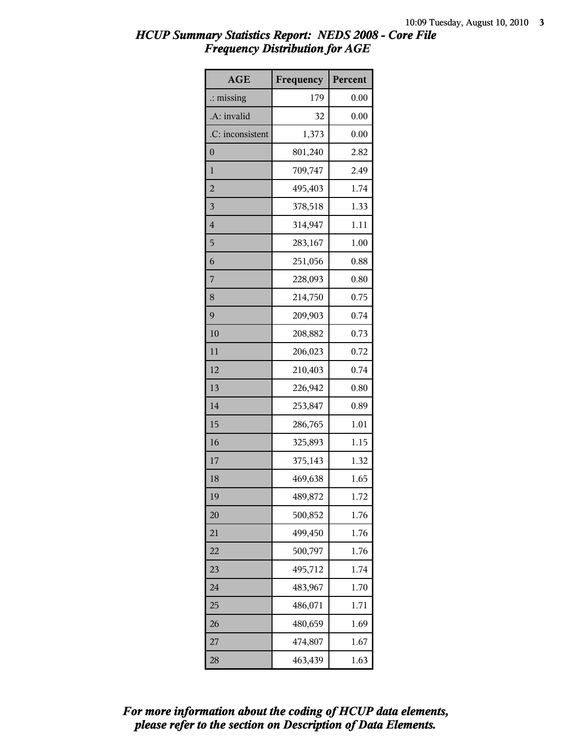| <b>AGE</b>           | Frequency | Percent |
|----------------------|-----------|---------|
| $\therefore$ missing | 179       | 0.00    |
| .A: invalid          | 32        | 0.00    |
| .C: inconsistent     | 1,373     | 0.00    |
| $\boldsymbol{0}$     | 801,240   | 2.82    |
| $\mathbf{1}$         | 709,747   | 2.49    |
| $\overline{2}$       | 495,403   | 1.74    |
| $\overline{3}$       | 378,518   | 1.33    |
| $\overline{4}$       | 314,947   | 1.11    |
| 5                    | 283,167   | 1.00    |
| 6                    | 251,056   | 0.88    |
| 7                    | 228,093   | 0.80    |
| 8                    | 214,750   | 0.75    |
| 9                    | 209,903   | 0.74    |
| 10                   | 208,882   | 0.73    |
| 11                   | 206,023   | 0.72    |
| 12                   | 210,403   | 0.74    |
| 13                   | 226,942   | 0.80    |
| 14                   | 253,847   | 0.89    |
| 15                   | 286,765   | 1.01    |
| 16                   | 325,893   | 1.15    |
| 17                   | 375,143   | 1.32    |
| 18                   | 469,638   | 1.65    |
| 19                   | 489,872   | 1.72    |
| 20                   | 500,852   | 1.76    |
| 21                   | 499,450   | 1.76    |
| 22                   | 500,797   | 1.76    |
| 23                   | 495,712   | 1.74    |
| 24                   | 483,967   | 1.70    |
| 25                   | 486,071   | 1.71    |
| 26                   | 480,659   | 1.69    |
| 27                   | 474,807   | 1.67    |
| 28                   | 463,439   | 1.63    |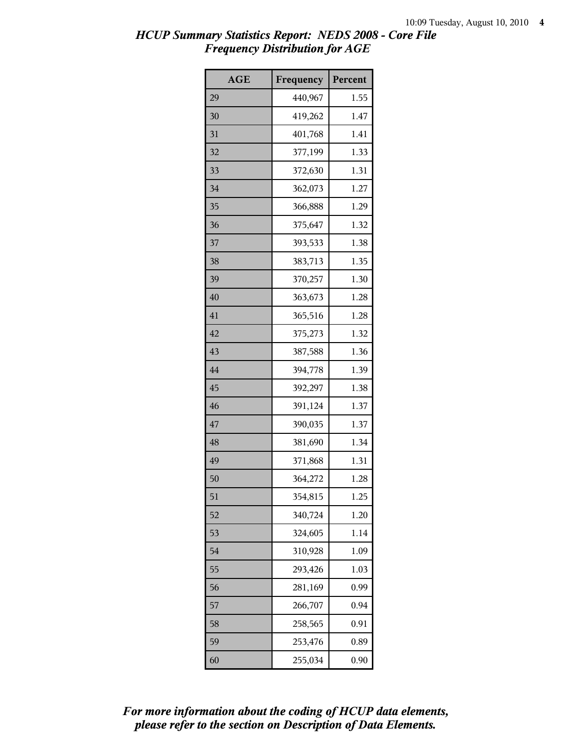| <b>AGE</b> | Frequency | Percent |
|------------|-----------|---------|
| 29         | 440,967   | 1.55    |
| 30         | 419,262   | 1.47    |
| 31         | 401,768   | 1.41    |
| 32         | 377,199   | 1.33    |
| 33         | 372,630   | 1.31    |
| 34         | 362,073   | 1.27    |
| 35         | 366,888   | 1.29    |
| 36         | 375,647   | 1.32    |
| 37         | 393,533   | 1.38    |
| 38         | 383,713   | 1.35    |
| 39         | 370,257   | 1.30    |
| 40         | 363,673   | 1.28    |
| 41         | 365,516   | 1.28    |
| 42         | 375,273   | 1.32    |
| 43         | 387,588   | 1.36    |
| 44         | 394,778   | 1.39    |
| 45         | 392,297   | 1.38    |
| 46         | 391,124   | 1.37    |
| 47         | 390,035   | 1.37    |
| 48         | 381,690   | 1.34    |
| 49         | 371,868   | 1.31    |
| 50         | 364,272   | 1.28    |
| 51         | 354,815   | 1.25    |
| 52         | 340,724   | 1.20    |
| 53         | 324,605   | 1.14    |
| 54         | 310,928   | 1.09    |
| 55         | 293,426   | 1.03    |
| 56         | 281,169   | 0.99    |
| 57         | 266,707   | 0.94    |
| 58         | 258,565   | 0.91    |
| 59         | 253,476   | 0.89    |
| 60         | 255,034   | 0.90    |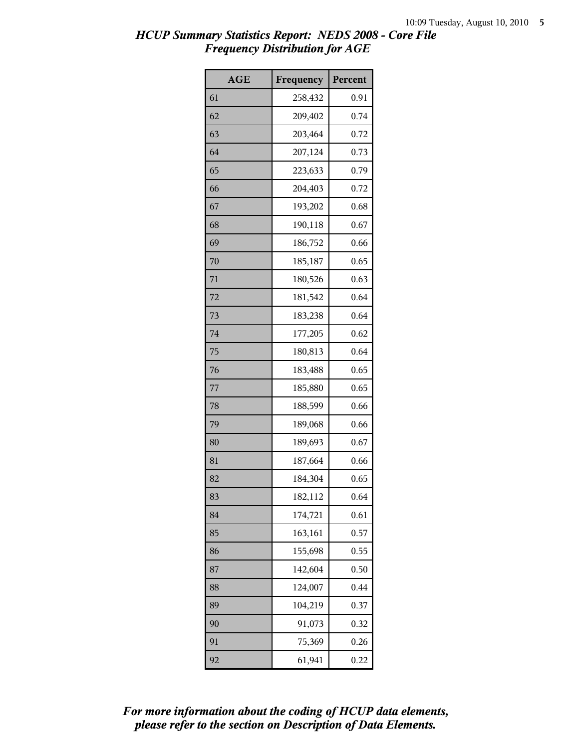| <b>AGE</b> | Frequency | Percent |
|------------|-----------|---------|
| 61         | 258,432   | 0.91    |
| 62         | 209,402   | 0.74    |
| 63         | 203,464   | 0.72    |
| 64         | 207,124   | 0.73    |
| 65         | 223,633   | 0.79    |
| 66         | 204,403   | 0.72    |
| 67         | 193,202   | 0.68    |
| 68         | 190,118   | 0.67    |
| 69         | 186,752   | 0.66    |
| 70         | 185,187   | 0.65    |
| 71         | 180,526   | 0.63    |
| 72         | 181,542   | 0.64    |
| 73         | 183,238   | 0.64    |
| 74         | 177,205   | 0.62    |
| 75         | 180,813   | 0.64    |
| 76         | 183,488   | 0.65    |
| 77         | 185,880   | 0.65    |
| 78         | 188,599   | 0.66    |
| 79         | 189,068   | 0.66    |
| 80         | 189,693   | 0.67    |
| 81         | 187,664   | 0.66    |
| 82         | 184,304   | 0.65    |
| 83         | 182,112   | 0.64    |
| 84         | 174,721   | 0.61    |
| 85         | 163,161   | 0.57    |
| 86         | 155,698   | 0.55    |
| 87         | 142,604   | 0.50    |
| 88         | 124,007   | 0.44    |
| 89         | 104,219   | 0.37    |
| 90         | 91,073    | 0.32    |
| 91         | 75,369    | 0.26    |
| 92         | 61,941    | 0.22    |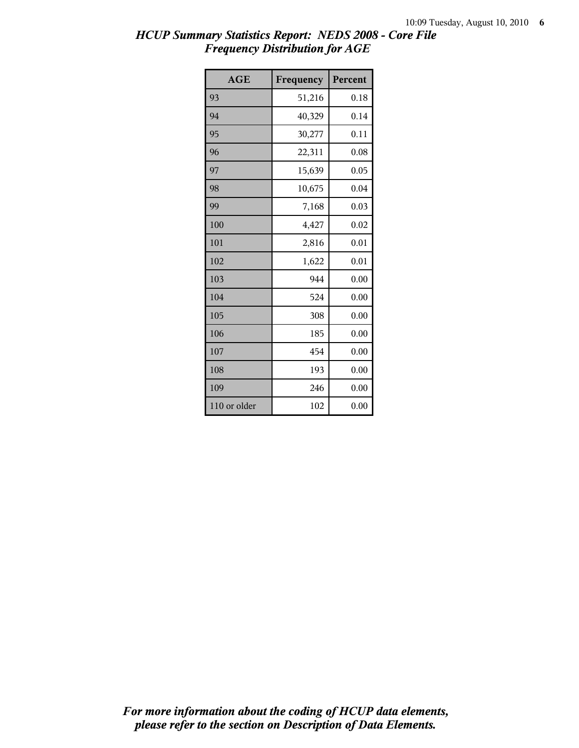| <b>AGE</b>   | Frequency | Percent |
|--------------|-----------|---------|
| 93           | 51,216    | 0.18    |
| 94           | 40,329    | 0.14    |
| 95           | 30,277    | 0.11    |
| 96           | 22,311    | 0.08    |
| 97           | 15,639    | 0.05    |
| 98           | 10,675    | 0.04    |
| 99           | 7,168     | 0.03    |
| 100          | 4,427     | 0.02    |
| 101          | 2,816     | 0.01    |
| 102          | 1,622     | 0.01    |
| 103          | 944       | 0.00    |
| 104          | 524       | 0.00    |
| 105          | 308       | 0.00    |
| 106          | 185       | 0.00    |
| 107          | 454       | 0.00    |
| 108          | 193       | 0.00    |
| 109          | 246       | 0.00    |
| 110 or older | 102       | 0.00    |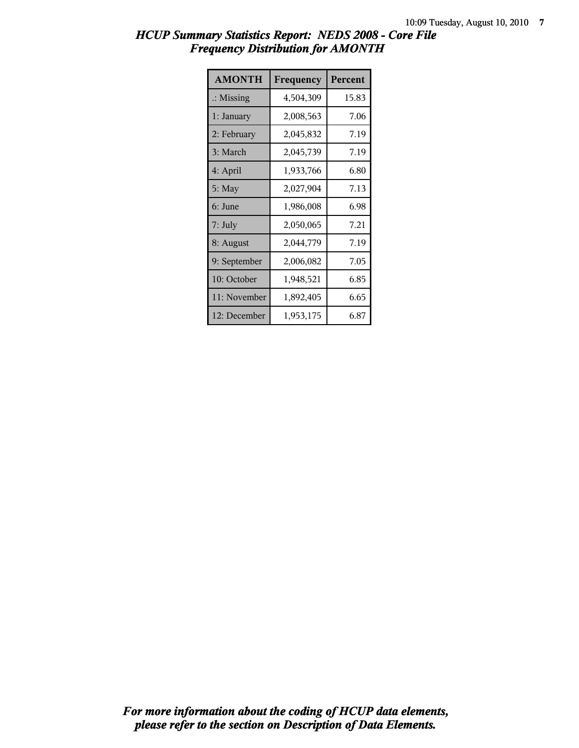| <b>AMONTH</b>        | Frequency | Percent |
|----------------------|-----------|---------|
| $\therefore$ Missing | 4,504,309 | 15.83   |
| 1: January           | 2,008,563 | 7.06    |
| 2: February          | 2,045,832 | 7.19    |
| 3: March             | 2,045,739 | 7.19    |
| 4: April             | 1,933,766 | 6.80    |
| $5:$ May             | 2,027,904 | 7.13    |
| 6: June              | 1,986,008 | 6.98    |
| $7:$ July            | 2,050,065 | 7.21    |
| 8: August            | 2,044,779 | 7.19    |
| 9: September         | 2,006,082 | 7.05    |
| 10: October          | 1,948,521 | 6.85    |
| 11: November         | 1,892,405 | 6.65    |
| 12: December         | 1,953,175 | 6.87    |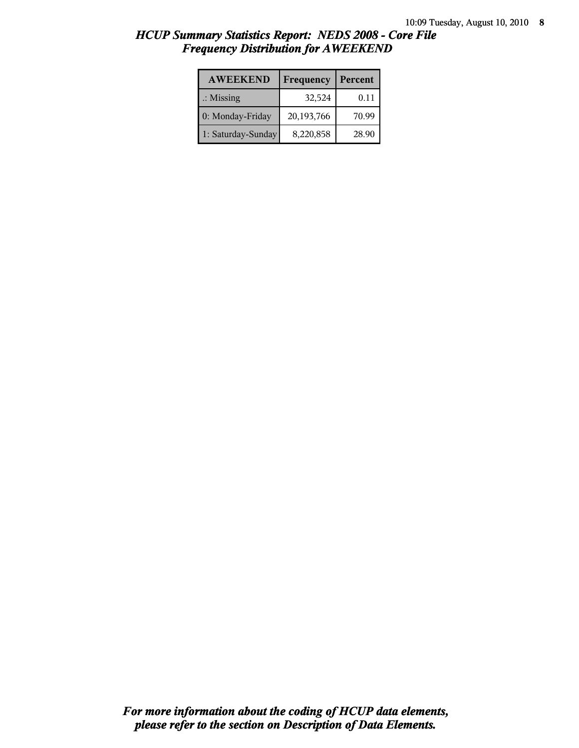| <b>AWEEKEND</b>      | Frequency  | Percent |
|----------------------|------------|---------|
| $\therefore$ Missing | 32,524     | 0.11    |
| 0: Monday-Friday     | 20,193,766 | 70.99   |
| 1: Saturday-Sunday   | 8,220,858  | 28.90   |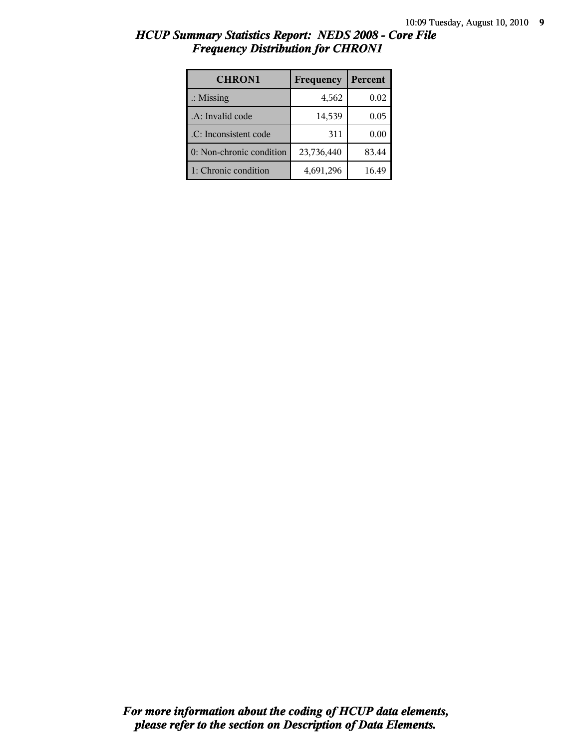| HCUP Summary Statistics Report: NEDS 2008 - Core File |  |
|-------------------------------------------------------|--|
| <b>Frequency Distribution for CHRON1</b>              |  |

| <b>CHRON1</b>            | Frequency  | Percent |
|--------------------------|------------|---------|
| $\therefore$ Missing     | 4,562      | 0.02    |
| .A: Invalid code         | 14,539     | 0.05    |
| .C: Inconsistent code    | 311        | 0.00    |
| 0: Non-chronic condition | 23,736,440 | 83.44   |
| 1: Chronic condition     | 4,691,296  | 16.49   |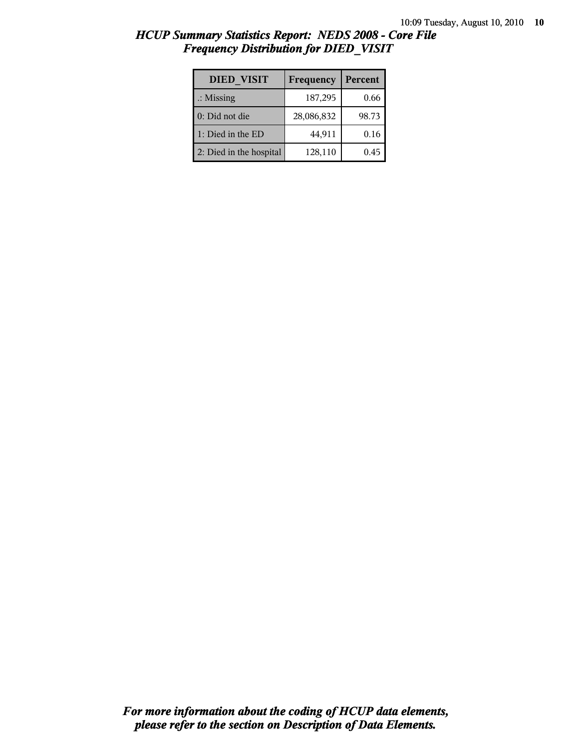| <b>DIED VISIT</b>       | Frequency  | Percent |
|-------------------------|------------|---------|
| $\therefore$ Missing    | 187,295    | 0.66    |
| 0: Did not die          | 28,086,832 | 98.73   |
| 1: Died in the ED       | 44,911     | 0.16    |
| 2: Died in the hospital | 128,110    | 0.45    |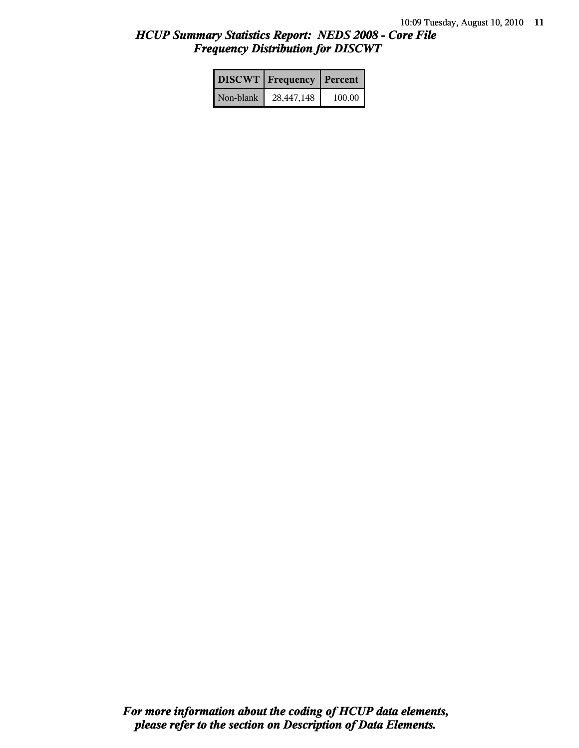|           | <b>DISCWT</b> Frequency | Percent |
|-----------|-------------------------|---------|
| Non-blank | 28,447,148              | 100.00  |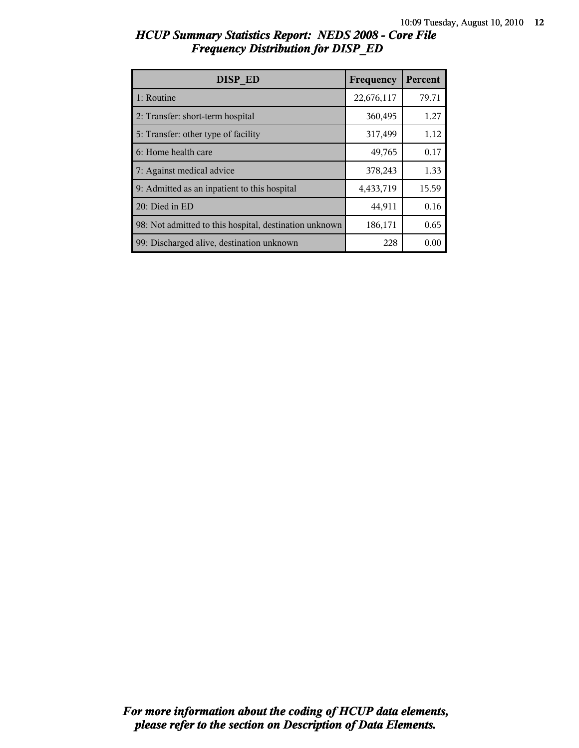| HCUP Summary Statistics Report: NEDS 2008 - Core File |  |
|-------------------------------------------------------|--|
| <b>Frequency Distribution for DISP ED</b>             |  |

| DISP ED                                                | Frequency  | Percent |
|--------------------------------------------------------|------------|---------|
| 1: Routine                                             | 22,676,117 | 79.71   |
| 2: Transfer: short-term hospital                       | 360,495    | 1.27    |
| 5: Transfer: other type of facility                    | 317,499    | 1.12    |
| 6: Home health care                                    | 49,765     | 0.17    |
| 7: Against medical advice                              | 378,243    | 1.33    |
| 9: Admitted as an inpatient to this hospital           | 4,433,719  | 15.59   |
| 20: Died in ED                                         | 44,911     | 0.16    |
| 98: Not admitted to this hospital, destination unknown | 186,171    | 0.65    |
| 99: Discharged alive, destination unknown              | 228        | 0.00    |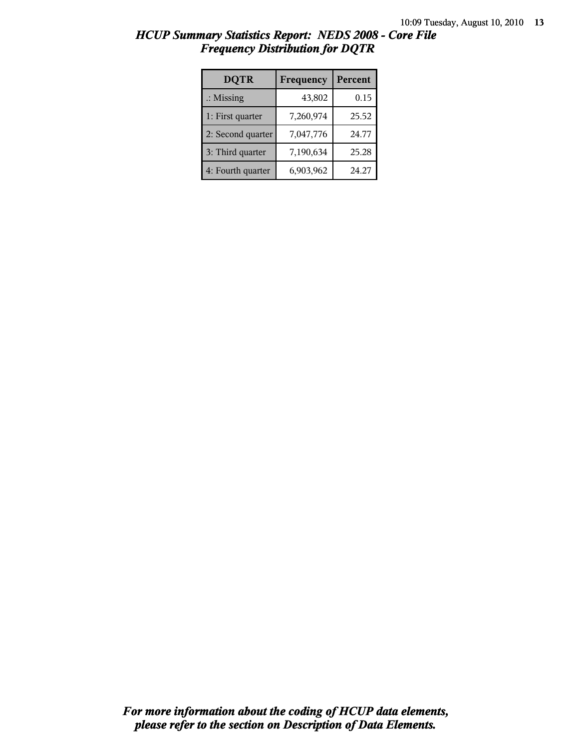| <b>DQTR</b>          | Frequency | Percent |
|----------------------|-----------|---------|
| $\therefore$ Missing | 43,802    | 0.15    |
| 1: First quarter     | 7,260,974 | 25.52   |
| 2: Second quarter    | 7,047,776 | 24.77   |
| 3: Third quarter     | 7,190,634 | 25.28   |
| 4: Fourth quarter    | 6,903,962 | 24.27   |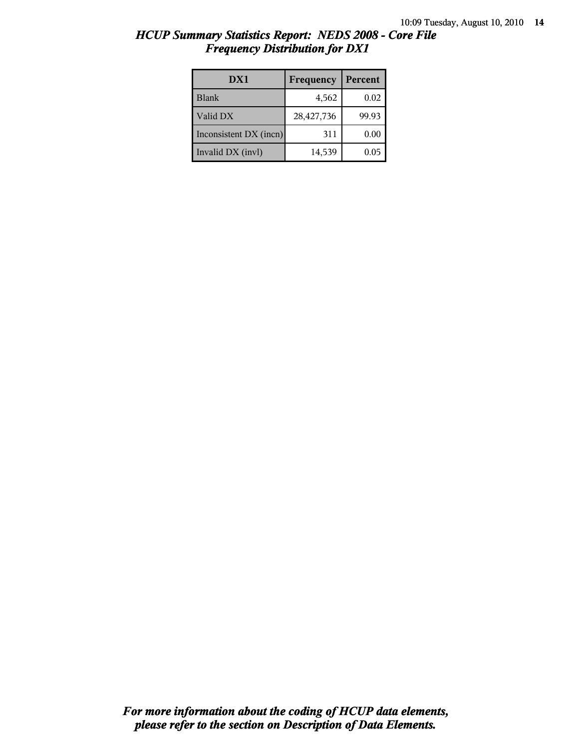| HCUP Summary Statistics Report: NEDS 2008 - Core File |  |
|-------------------------------------------------------|--|
| <b>Frequency Distribution for DX1</b>                 |  |

| DX1                    | Frequency  | Percent |
|------------------------|------------|---------|
| Blank                  | 4,562      | 0.02    |
| Valid DX               | 28,427,736 | 99.93   |
| Inconsistent DX (incn) | 311        | 0.00    |
| Invalid DX (invl)      | 14,539     | 0.05    |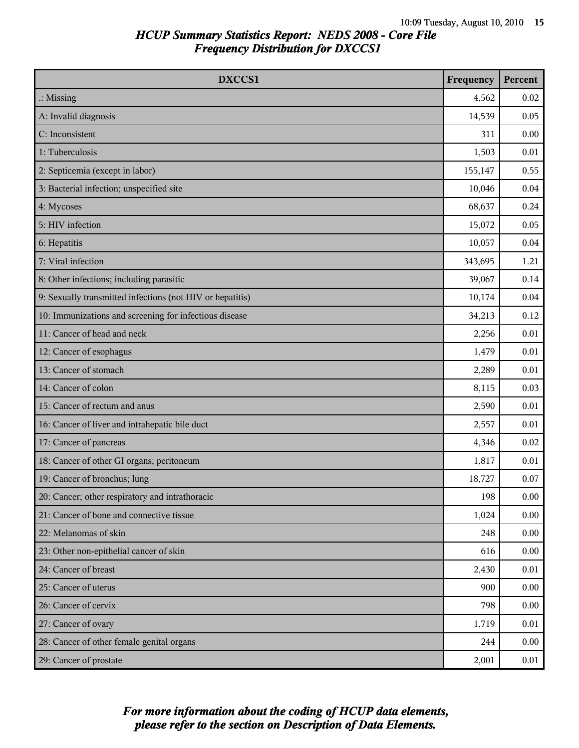| DXCCS1                                                    | Frequency | Percent |
|-----------------------------------------------------------|-----------|---------|
| $\therefore$ Missing                                      | 4,562     | 0.02    |
| A: Invalid diagnosis                                      | 14,539    | 0.05    |
| C: Inconsistent                                           | 311       | 0.00    |
| 1: Tuberculosis                                           | 1,503     | 0.01    |
| 2: Septicemia (except in labor)                           | 155,147   | 0.55    |
| 3: Bacterial infection; unspecified site                  | 10,046    | 0.04    |
| 4: Mycoses                                                | 68,637    | 0.24    |
| 5: HIV infection                                          | 15,072    | 0.05    |
| 6: Hepatitis                                              | 10,057    | 0.04    |
| 7: Viral infection                                        | 343,695   | 1.21    |
| 8: Other infections; including parasitic                  | 39,067    | 0.14    |
| 9: Sexually transmitted infections (not HIV or hepatitis) | 10,174    | 0.04    |
| 10: Immunizations and screening for infectious disease    | 34,213    | 0.12    |
| 11: Cancer of head and neck                               | 2,256     | 0.01    |
| 12: Cancer of esophagus                                   | 1,479     | 0.01    |
| 13: Cancer of stomach                                     | 2,289     | 0.01    |
| 14: Cancer of colon                                       | 8,115     | 0.03    |
| 15: Cancer of rectum and anus                             | 2,590     | 0.01    |
| 16: Cancer of liver and intrahepatic bile duct            | 2,557     | 0.01    |
| 17: Cancer of pancreas                                    | 4,346     | 0.02    |
| 18: Cancer of other GI organs; peritoneum                 | 1,817     | 0.01    |
| 19: Cancer of bronchus; lung                              | 18,727    | 0.07    |
| 20: Cancer; other respiratory and intrathoracic           | 198       | 0.00    |
| 21: Cancer of bone and connective tissue                  | 1,024     | 0.00    |
| 22: Melanomas of skin                                     | 248       | 0.00    |
| 23: Other non-epithelial cancer of skin                   | 616       | 0.00    |
| 24: Cancer of breast                                      | 2,430     | 0.01    |
| 25: Cancer of uterus                                      | 900       | 0.00    |
| 26: Cancer of cervix                                      | 798       | 0.00    |
| 27: Cancer of ovary                                       | 1,719     | 0.01    |
| 28: Cancer of other female genital organs                 | 244       | 0.00    |
| 29: Cancer of prostate                                    | 2,001     | 0.01    |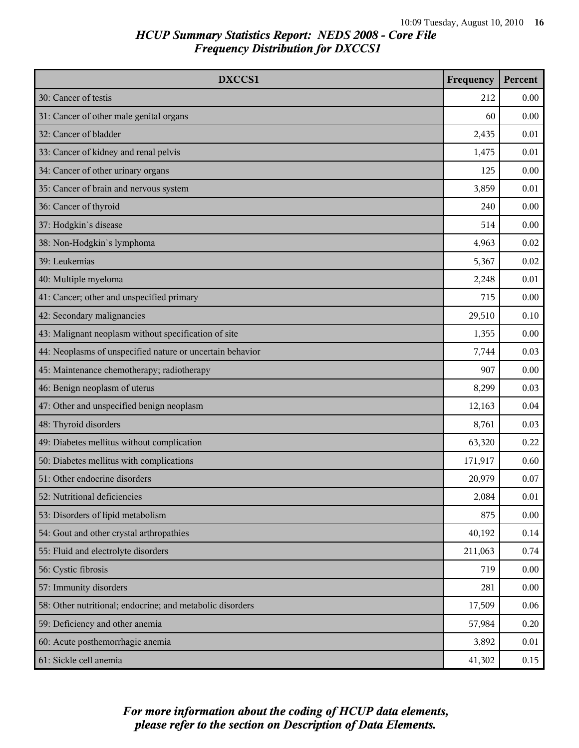| DXCCS1                                                    | Frequency | Percent |
|-----------------------------------------------------------|-----------|---------|
| 30: Cancer of testis                                      | 212       | 0.00    |
| 31: Cancer of other male genital organs                   | 60        | 0.00    |
| 32: Cancer of bladder                                     | 2,435     | 0.01    |
| 33: Cancer of kidney and renal pelvis                     | 1,475     | 0.01    |
| 34: Cancer of other urinary organs                        | 125       | 0.00    |
| 35: Cancer of brain and nervous system                    | 3,859     | 0.01    |
| 36: Cancer of thyroid                                     | 240       | 0.00    |
| 37: Hodgkin's disease                                     | 514       | 0.00    |
| 38: Non-Hodgkin's lymphoma                                | 4,963     | 0.02    |
| 39: Leukemias                                             | 5,367     | 0.02    |
| 40: Multiple myeloma                                      | 2,248     | 0.01    |
| 41: Cancer; other and unspecified primary                 | 715       | 0.00    |
| 42: Secondary malignancies                                | 29,510    | 0.10    |
| 43: Malignant neoplasm without specification of site      | 1,355     | 0.00    |
| 44: Neoplasms of unspecified nature or uncertain behavior | 7,744     | 0.03    |
| 45: Maintenance chemotherapy; radiotherapy                | 907       | 0.00    |
| 46: Benign neoplasm of uterus                             | 8,299     | 0.03    |
| 47: Other and unspecified benign neoplasm                 | 12,163    | 0.04    |
| 48: Thyroid disorders                                     | 8,761     | 0.03    |
| 49: Diabetes mellitus without complication                | 63,320    | 0.22    |
| 50: Diabetes mellitus with complications                  | 171,917   | 0.60    |
| 51: Other endocrine disorders                             | 20,979    | 0.07    |
| 52: Nutritional deficiencies                              | 2,084     | 0.01    |
| 53: Disorders of lipid metabolism                         | 875       | 0.00    |
| 54: Gout and other crystal arthropathies                  | 40,192    | 0.14    |
| 55: Fluid and electrolyte disorders                       | 211,063   | 0.74    |
| 56: Cystic fibrosis                                       | 719       | 0.00    |
| 57: Immunity disorders                                    | 281       | 0.00    |
| 58: Other nutritional; endocrine; and metabolic disorders | 17,509    | 0.06    |
| 59: Deficiency and other anemia                           | 57,984    | 0.20    |
| 60: Acute posthemorrhagic anemia                          | 3,892     | 0.01    |
| 61: Sickle cell anemia                                    | 41,302    | 0.15    |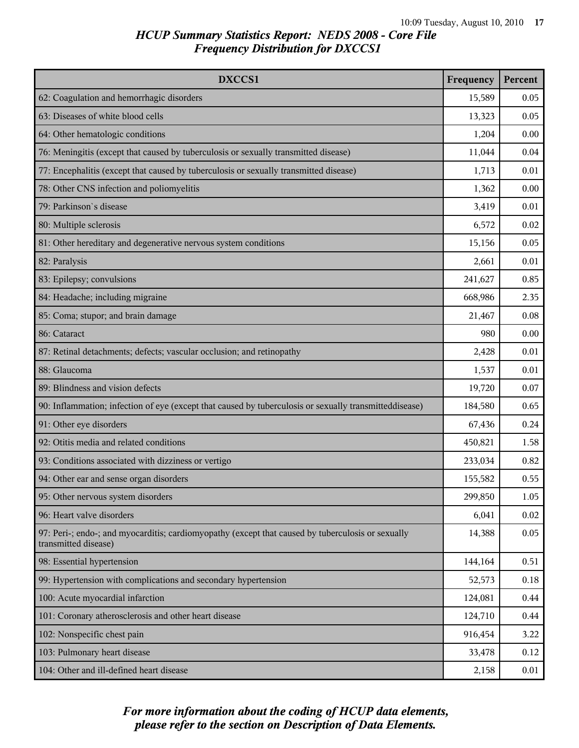| DXCCS1                                                                                                                    | Frequency | Percent |
|---------------------------------------------------------------------------------------------------------------------------|-----------|---------|
| 62: Coagulation and hemorrhagic disorders                                                                                 | 15,589    | 0.05    |
| 63: Diseases of white blood cells                                                                                         | 13,323    | 0.05    |
| 64: Other hematologic conditions                                                                                          | 1,204     | 0.00    |
| 76: Meningitis (except that caused by tuberculosis or sexually transmitted disease)                                       | 11,044    | 0.04    |
| 77: Encephalitis (except that caused by tuberculosis or sexually transmitted disease)                                     | 1,713     | 0.01    |
| 78: Other CNS infection and poliomyelitis                                                                                 | 1,362     | 0.00    |
| 79: Parkinson's disease                                                                                                   | 3,419     | 0.01    |
| 80: Multiple sclerosis                                                                                                    | 6,572     | 0.02    |
| 81: Other hereditary and degenerative nervous system conditions                                                           | 15,156    | 0.05    |
| 82: Paralysis                                                                                                             | 2,661     | 0.01    |
| 83: Epilepsy; convulsions                                                                                                 | 241,627   | 0.85    |
| 84: Headache; including migraine                                                                                          | 668,986   | 2.35    |
| 85: Coma; stupor; and brain damage                                                                                        | 21,467    | 0.08    |
| 86: Cataract                                                                                                              | 980       | 0.00    |
| 87: Retinal detachments; defects; vascular occlusion; and retinopathy                                                     | 2,428     | 0.01    |
| 88: Glaucoma                                                                                                              | 1,537     | 0.01    |
| 89: Blindness and vision defects                                                                                          | 19,720    | 0.07    |
| 90: Inflammation; infection of eye (except that caused by tuberculosis or sexually transmitteddisease)                    | 184,580   | 0.65    |
| 91: Other eye disorders                                                                                                   | 67,436    | 0.24    |
| 92: Otitis media and related conditions                                                                                   | 450,821   | 1.58    |
| 93: Conditions associated with dizziness or vertigo                                                                       | 233,034   | 0.82    |
| 94: Other ear and sense organ disorders                                                                                   | 155,582   | 0.55    |
| 95: Other nervous system disorders                                                                                        | 299,850   | 1.05    |
| 96: Heart valve disorders                                                                                                 | 6,041     | 0.02    |
| 97: Peri-; endo-; and myocarditis; cardiomyopathy (except that caused by tuberculosis or sexually<br>transmitted disease) | 14,388    | 0.05    |
| 98: Essential hypertension                                                                                                | 144,164   | 0.51    |
| 99: Hypertension with complications and secondary hypertension                                                            | 52,573    | 0.18    |
| 100: Acute myocardial infarction                                                                                          | 124,081   | 0.44    |
| 101: Coronary atherosclerosis and other heart disease                                                                     | 124,710   | 0.44    |
| 102: Nonspecific chest pain                                                                                               | 916,454   | 3.22    |
| 103: Pulmonary heart disease                                                                                              | 33,478    | 0.12    |
| 104: Other and ill-defined heart disease                                                                                  | 2,158     | 0.01    |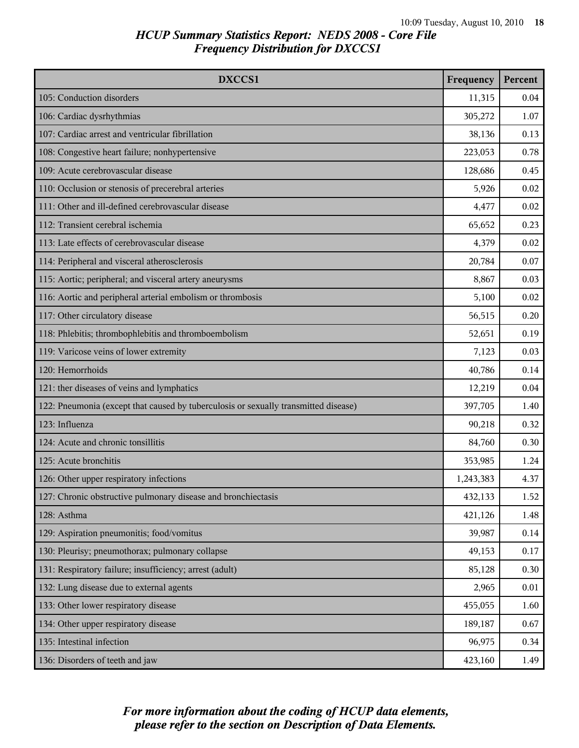| DXCCS1                                                                              | Frequency | Percent |
|-------------------------------------------------------------------------------------|-----------|---------|
| 105: Conduction disorders                                                           | 11,315    | 0.04    |
| 106: Cardiac dysrhythmias                                                           | 305,272   | 1.07    |
| 107: Cardiac arrest and ventricular fibrillation                                    | 38,136    | 0.13    |
| 108: Congestive heart failure; nonhypertensive                                      | 223,053   | 0.78    |
| 109: Acute cerebrovascular disease                                                  | 128,686   | 0.45    |
| 110: Occlusion or stenosis of precerebral arteries                                  | 5,926     | 0.02    |
| 111: Other and ill-defined cerebrovascular disease                                  | 4,477     | 0.02    |
| 112: Transient cerebral ischemia                                                    | 65,652    | 0.23    |
| 113: Late effects of cerebrovascular disease                                        | 4,379     | 0.02    |
| 114: Peripheral and visceral atherosclerosis                                        | 20,784    | 0.07    |
| 115: Aortic; peripheral; and visceral artery aneurysms                              | 8,867     | 0.03    |
| 116: Aortic and peripheral arterial embolism or thrombosis                          | 5,100     | 0.02    |
| 117: Other circulatory disease                                                      | 56,515    | 0.20    |
| 118: Phlebitis; thrombophlebitis and thromboembolism                                | 52,651    | 0.19    |
| 119: Varicose veins of lower extremity                                              | 7,123     | 0.03    |
| 120: Hemorrhoids                                                                    | 40,786    | 0.14    |
| 121: ther diseases of veins and lymphatics                                          | 12,219    | 0.04    |
| 122: Pneumonia (except that caused by tuberculosis or sexually transmitted disease) | 397,705   | 1.40    |
| 123: Influenza                                                                      | 90,218    | 0.32    |
| 124: Acute and chronic tonsillitis                                                  | 84,760    | 0.30    |
| 125: Acute bronchitis                                                               | 353,985   | 1.24    |
| 126: Other upper respiratory infections                                             | 1,243,383 | 4.37    |
| 127: Chronic obstructive pulmonary disease and bronchiectasis                       | 432,133   | 1.52    |
| 128: Asthma                                                                         | 421,126   | 1.48    |
| 129: Aspiration pneumonitis; food/vomitus                                           | 39,987    | 0.14    |
| 130: Pleurisy; pneumothorax; pulmonary collapse                                     | 49,153    | 0.17    |
| 131: Respiratory failure; insufficiency; arrest (adult)                             | 85,128    | 0.30    |
| 132: Lung disease due to external agents                                            | 2,965     | 0.01    |
| 133: Other lower respiratory disease                                                | 455,055   | 1.60    |
| 134: Other upper respiratory disease                                                | 189,187   | 0.67    |
| 135: Intestinal infection                                                           | 96,975    | 0.34    |
| 136: Disorders of teeth and jaw                                                     | 423,160   | 1.49    |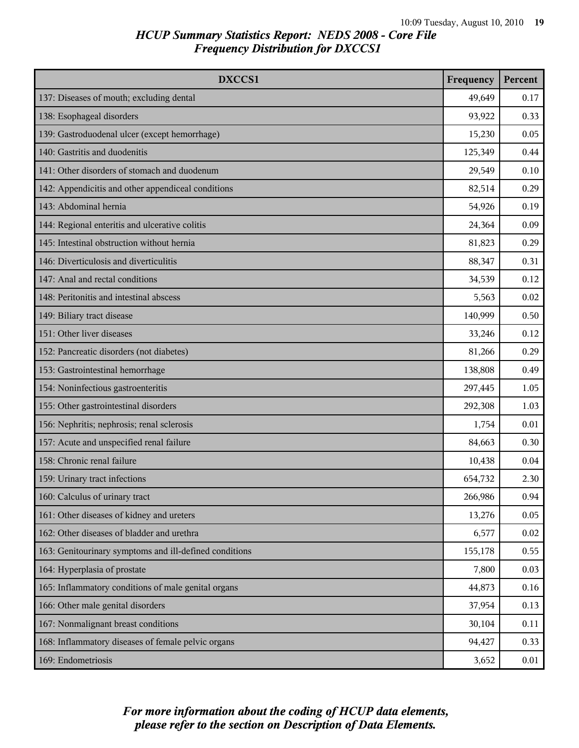| DXCCS1                                                 | Frequency | Percent |
|--------------------------------------------------------|-----------|---------|
| 137: Diseases of mouth; excluding dental               | 49,649    | 0.17    |
| 138: Esophageal disorders                              | 93,922    | 0.33    |
| 139: Gastroduodenal ulcer (except hemorrhage)          | 15,230    | 0.05    |
| 140: Gastritis and duodenitis                          | 125,349   | 0.44    |
| 141: Other disorders of stomach and duodenum           | 29,549    | 0.10    |
| 142: Appendicitis and other appendiceal conditions     | 82,514    | 0.29    |
| 143: Abdominal hernia                                  | 54,926    | 0.19    |
| 144: Regional enteritis and ulcerative colitis         | 24,364    | 0.09    |
| 145: Intestinal obstruction without hernia             | 81,823    | 0.29    |
| 146: Diverticulosis and diverticulitis                 | 88,347    | 0.31    |
| 147: Anal and rectal conditions                        | 34,539    | 0.12    |
| 148: Peritonitis and intestinal abscess                | 5,563     | 0.02    |
| 149: Biliary tract disease                             | 140,999   | 0.50    |
| 151: Other liver diseases                              | 33,246    | 0.12    |
| 152: Pancreatic disorders (not diabetes)               | 81,266    | 0.29    |
| 153: Gastrointestinal hemorrhage                       | 138,808   | 0.49    |
| 154: Noninfectious gastroenteritis                     | 297,445   | 1.05    |
| 155: Other gastrointestinal disorders                  | 292,308   | 1.03    |
| 156: Nephritis; nephrosis; renal sclerosis             | 1,754     | 0.01    |
| 157: Acute and unspecified renal failure               | 84,663    | 0.30    |
| 158: Chronic renal failure                             | 10,438    | 0.04    |
| 159: Urinary tract infections                          | 654,732   | 2.30    |
| 160: Calculus of urinary tract                         | 266,986   | 0.94    |
| 161: Other diseases of kidney and ureters              | 13,276    | 0.05    |
| 162: Other diseases of bladder and urethra             | 6,577     | 0.02    |
| 163: Genitourinary symptoms and ill-defined conditions | 155,178   | 0.55    |
| 164: Hyperplasia of prostate                           | 7,800     | 0.03    |
| 165: Inflammatory conditions of male genital organs    | 44,873    | 0.16    |
| 166: Other male genital disorders                      | 37,954    | 0.13    |
| 167: Nonmalignant breast conditions                    | 30,104    | 0.11    |
| 168: Inflammatory diseases of female pelvic organs     | 94,427    | 0.33    |
| 169: Endometriosis                                     | 3,652     | 0.01    |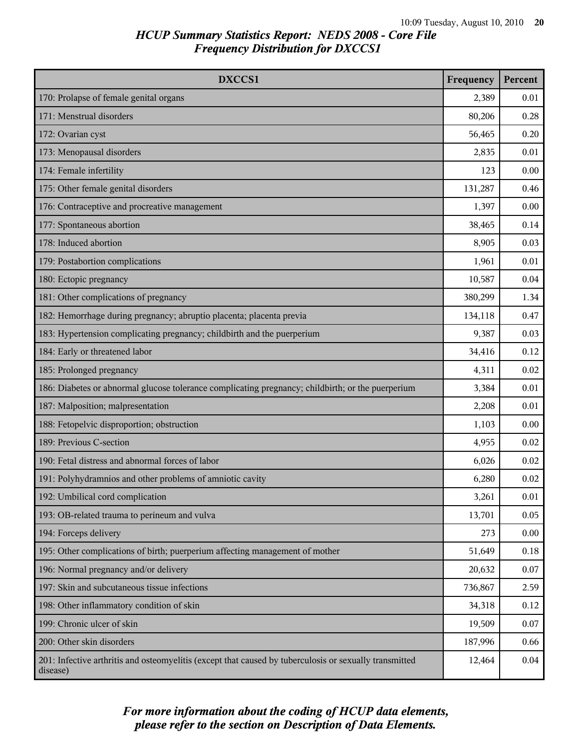| DXCCS1                                                                                                             | Frequency | Percent |
|--------------------------------------------------------------------------------------------------------------------|-----------|---------|
| 170: Prolapse of female genital organs                                                                             | 2,389     | 0.01    |
| 171: Menstrual disorders                                                                                           | 80,206    | 0.28    |
| 172: Ovarian cyst                                                                                                  | 56,465    | 0.20    |
| 173: Menopausal disorders                                                                                          | 2,835     | 0.01    |
| 174: Female infertility                                                                                            | 123       | 0.00    |
| 175: Other female genital disorders                                                                                | 131,287   | 0.46    |
| 176: Contraceptive and procreative management                                                                      | 1,397     | 0.00    |
| 177: Spontaneous abortion                                                                                          | 38,465    | 0.14    |
| 178: Induced abortion                                                                                              | 8,905     | 0.03    |
| 179: Postabortion complications                                                                                    | 1,961     | 0.01    |
| 180: Ectopic pregnancy                                                                                             | 10,587    | 0.04    |
| 181: Other complications of pregnancy                                                                              | 380,299   | 1.34    |
| 182: Hemorrhage during pregnancy; abruptio placenta; placenta previa                                               | 134,118   | 0.47    |
| 183: Hypertension complicating pregnancy; childbirth and the puerperium                                            | 9,387     | 0.03    |
| 184: Early or threatened labor                                                                                     | 34,416    | 0.12    |
| 185: Prolonged pregnancy                                                                                           | 4,311     | 0.02    |
| 186: Diabetes or abnormal glucose tolerance complicating pregnancy; childbirth; or the puerperium                  | 3,384     | 0.01    |
| 187: Malposition; malpresentation                                                                                  | 2,208     | 0.01    |
| 188: Fetopelvic disproportion; obstruction                                                                         | 1,103     | 0.00    |
| 189: Previous C-section                                                                                            | 4,955     | 0.02    |
| 190: Fetal distress and abnormal forces of labor                                                                   | 6,026     | 0.02    |
| 191: Polyhydramnios and other problems of amniotic cavity                                                          | 6,280     | 0.02    |
| 192: Umbilical cord complication                                                                                   | 3,261     | 0.01    |
| 193: OB-related trauma to perineum and vulva                                                                       | 13,701    | 0.05    |
| 194: Forceps delivery                                                                                              | 273       | 0.00    |
| 195: Other complications of birth; puerperium affecting management of mother                                       | 51,649    | 0.18    |
| 196: Normal pregnancy and/or delivery                                                                              | 20,632    | 0.07    |
| 197: Skin and subcutaneous tissue infections                                                                       | 736,867   | 2.59    |
| 198: Other inflammatory condition of skin                                                                          | 34,318    | 0.12    |
| 199: Chronic ulcer of skin                                                                                         | 19,509    | 0.07    |
| 200: Other skin disorders                                                                                          | 187,996   | 0.66    |
| 201: Infective arthritis and osteomyelitis (except that caused by tuberculosis or sexually transmitted<br>disease) | 12,464    | 0.04    |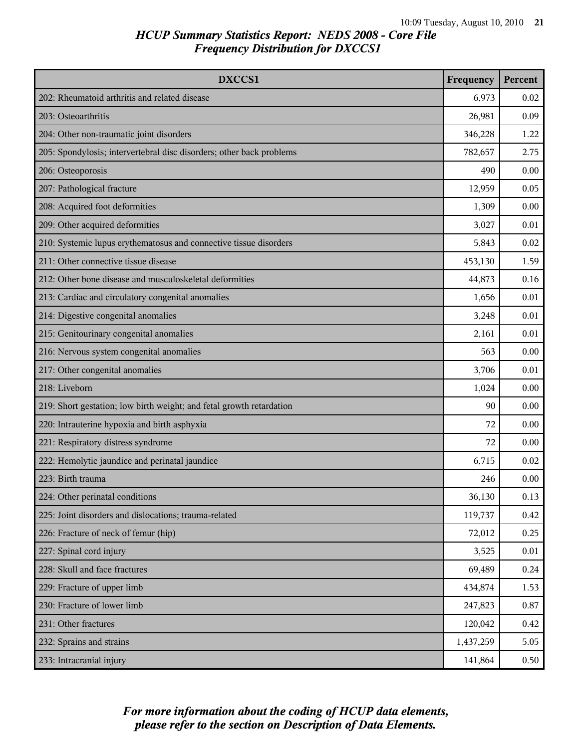| DXCCS1                                                               | Frequency | Percent |
|----------------------------------------------------------------------|-----------|---------|
| 202: Rheumatoid arthritis and related disease                        | 6,973     | 0.02    |
| 203: Osteoarthritis                                                  | 26,981    | 0.09    |
| 204: Other non-traumatic joint disorders                             | 346,228   | 1.22    |
| 205: Spondylosis; intervertebral disc disorders; other back problems | 782,657   | 2.75    |
| 206: Osteoporosis                                                    | 490       | 0.00    |
| 207: Pathological fracture                                           | 12,959    | 0.05    |
| 208: Acquired foot deformities                                       | 1,309     | 0.00    |
| 209: Other acquired deformities                                      | 3,027     | 0.01    |
| 210: Systemic lupus erythematosus and connective tissue disorders    | 5,843     | 0.02    |
| 211: Other connective tissue disease                                 | 453,130   | 1.59    |
| 212: Other bone disease and musculoskeletal deformities              | 44,873    | 0.16    |
| 213: Cardiac and circulatory congenital anomalies                    | 1,656     | 0.01    |
| 214: Digestive congenital anomalies                                  | 3,248     | 0.01    |
| 215: Genitourinary congenital anomalies                              | 2,161     | 0.01    |
| 216: Nervous system congenital anomalies                             | 563       | 0.00    |
| 217: Other congenital anomalies                                      | 3,706     | 0.01    |
| 218: Liveborn                                                        | 1,024     | 0.00    |
| 219: Short gestation; low birth weight; and fetal growth retardation | 90        | 0.00    |
| 220: Intrauterine hypoxia and birth asphyxia                         | 72        | 0.00    |
| 221: Respiratory distress syndrome                                   | 72        | 0.00    |
| 222: Hemolytic jaundice and perinatal jaundice                       | 6,715     | 0.02    |
| 223: Birth trauma                                                    | 246       | 0.00    |
| 224: Other perinatal conditions                                      | 36,130    | 0.13    |
| 225: Joint disorders and dislocations; trauma-related                | 119,737   | 0.42    |
| 226: Fracture of neck of femur (hip)                                 | 72,012    | 0.25    |
| 227: Spinal cord injury                                              | 3,525     | 0.01    |
| 228: Skull and face fractures                                        | 69,489    | 0.24    |
| 229: Fracture of upper limb                                          | 434,874   | 1.53    |
| 230: Fracture of lower limb                                          | 247,823   | 0.87    |
| 231: Other fractures                                                 | 120,042   | 0.42    |
| 232: Sprains and strains                                             | 1,437,259 | 5.05    |
| 233: Intracranial injury                                             | 141,864   | 0.50    |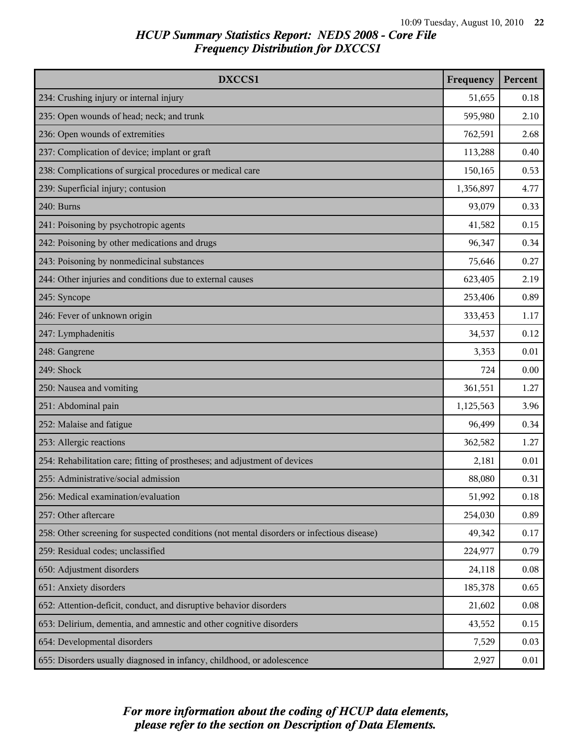| DXCCS1                                                                                     | Frequency | Percent |
|--------------------------------------------------------------------------------------------|-----------|---------|
| 234: Crushing injury or internal injury                                                    | 51,655    | 0.18    |
| 235: Open wounds of head; neck; and trunk                                                  | 595,980   | 2.10    |
| 236: Open wounds of extremities                                                            | 762,591   | 2.68    |
| 237: Complication of device; implant or graft                                              | 113,288   | 0.40    |
| 238: Complications of surgical procedures or medical care                                  | 150,165   | 0.53    |
| 239: Superficial injury; contusion                                                         | 1,356,897 | 4.77    |
| 240: Burns                                                                                 | 93,079    | 0.33    |
| 241: Poisoning by psychotropic agents                                                      | 41,582    | 0.15    |
| 242: Poisoning by other medications and drugs                                              | 96,347    | 0.34    |
| 243: Poisoning by nonmedicinal substances                                                  | 75,646    | 0.27    |
| 244: Other injuries and conditions due to external causes                                  | 623,405   | 2.19    |
| 245: Syncope                                                                               | 253,406   | 0.89    |
| 246: Fever of unknown origin                                                               | 333,453   | 1.17    |
| 247: Lymphadenitis                                                                         | 34,537    | 0.12    |
| 248: Gangrene                                                                              | 3,353     | 0.01    |
| 249: Shock                                                                                 | 724       | 0.00    |
| 250: Nausea and vomiting                                                                   | 361,551   | 1.27    |
| 251: Abdominal pain                                                                        | 1,125,563 | 3.96    |
| 252: Malaise and fatigue                                                                   | 96,499    | 0.34    |
| 253: Allergic reactions                                                                    | 362,582   | 1.27    |
| 254: Rehabilitation care; fitting of prostheses; and adjustment of devices                 | 2,181     | 0.01    |
| 255: Administrative/social admission                                                       | 88,080    | 0.31    |
| 256: Medical examination/evaluation                                                        | 51,992    | 0.18    |
| 257: Other aftercare                                                                       | 254,030   | 0.89    |
| 258: Other screening for suspected conditions (not mental disorders or infectious disease) | 49,342    | 0.17    |
| 259: Residual codes; unclassified                                                          | 224,977   | 0.79    |
| 650: Adjustment disorders                                                                  | 24,118    | 0.08    |
| 651: Anxiety disorders                                                                     | 185,378   | 0.65    |
| 652: Attention-deficit, conduct, and disruptive behavior disorders                         | 21,602    | 0.08    |
| 653: Delirium, dementia, and amnestic and other cognitive disorders                        | 43,552    | 0.15    |
| 654: Developmental disorders                                                               | 7,529     | 0.03    |
| 655: Disorders usually diagnosed in infancy, childhood, or adolescence                     | 2,927     | 0.01    |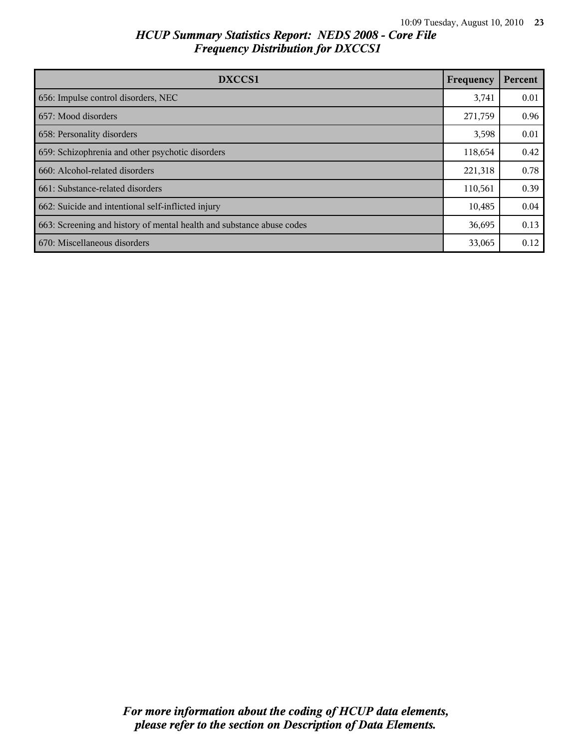| DXCCS1                                                                | Frequency | Percent |
|-----------------------------------------------------------------------|-----------|---------|
| 656: Impulse control disorders, NEC                                   | 3,741     | 0.01    |
| 657: Mood disorders                                                   | 271,759   | 0.96    |
| 658: Personality disorders                                            | 3,598     | 0.01    |
| 659: Schizophrenia and other psychotic disorders                      | 118,654   | 0.42    |
| 660: Alcohol-related disorders                                        | 221,318   | 0.78    |
| 661: Substance-related disorders                                      | 110,561   | 0.39    |
| 662: Suicide and intentional self-inflicted injury                    | 10,485    | 0.04    |
| 663: Screening and history of mental health and substance abuse codes | 36,695    | 0.13    |
| 670: Miscellaneous disorders                                          | 33,065    | 0.12    |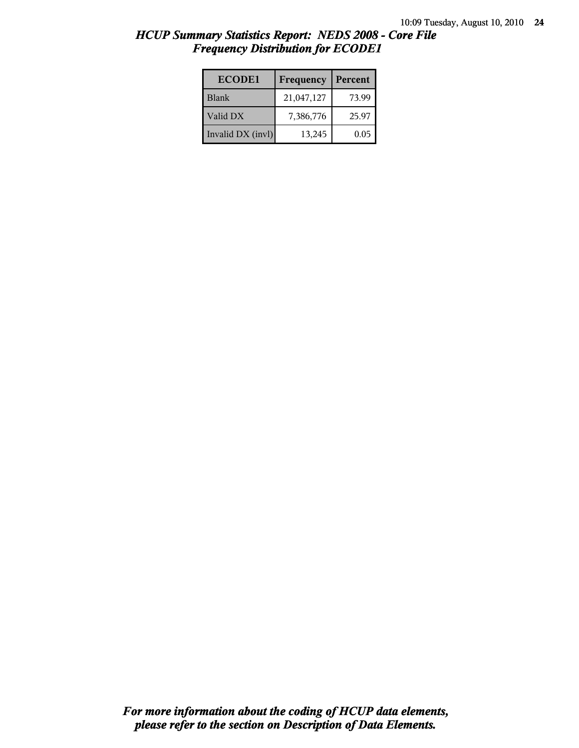| <b>ECODE1</b>     | Frequency  | Percent |
|-------------------|------------|---------|
| <b>Blank</b>      | 21,047,127 | 73.99   |
| Valid DX          | 7,386,776  | 25.97   |
| Invalid DX (invl) | 13,245     | 0.05    |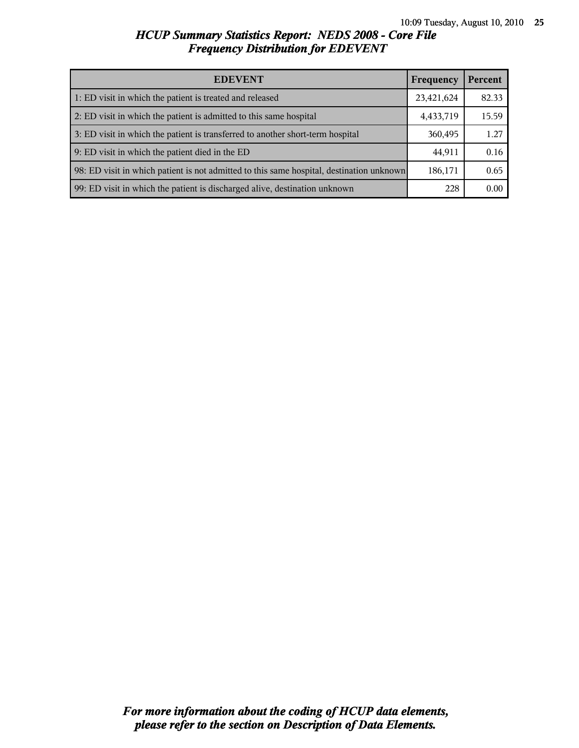| <b>EDEVENT</b>                                                                           | Frequency  | Percent |
|------------------------------------------------------------------------------------------|------------|---------|
| 1: ED visit in which the patient is treated and released                                 | 23,421,624 | 82.33   |
| 2: ED visit in which the patient is admitted to this same hospital                       | 4,433,719  | 15.59   |
| 3: ED visit in which the patient is transferred to another short-term hospital           | 360,495    | 1.27    |
| 9: ED visit in which the patient died in the ED                                          | 44,911     | 0.16    |
| 98: ED visit in which patient is not admitted to this same hospital, destination unknown | 186,171    | 0.65    |
| 99: ED visit in which the patient is discharged alive, destination unknown               | 228        | 0.00    |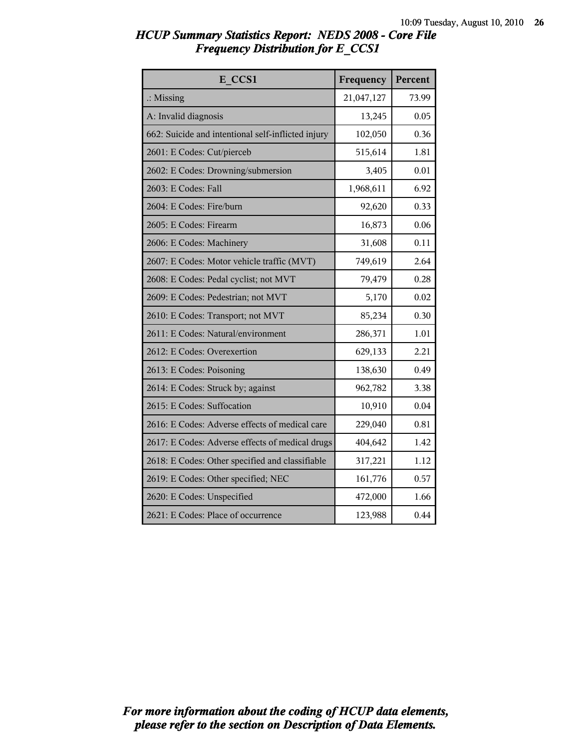| HCUP Summary Statistics Report: NEDS 2008 - Core File |  |  |
|-------------------------------------------------------|--|--|
| <b>Frequency Distribution for E CCS1</b>              |  |  |

| E CCS1                                             | Frequency  | Percent |
|----------------------------------------------------|------------|---------|
| $\therefore$ Missing                               | 21,047,127 | 73.99   |
| A: Invalid diagnosis                               | 13,245     | 0.05    |
| 662: Suicide and intentional self-inflicted injury | 102,050    | 0.36    |
| 2601: E Codes: Cut/pierceb                         | 515,614    | 1.81    |
| 2602: E Codes: Drowning/submersion                 | 3,405      | 0.01    |
| 2603: E Codes: Fall                                | 1,968,611  | 6.92    |
| 2604: E Codes: Fire/burn                           | 92,620     | 0.33    |
| 2605: E Codes: Firearm                             | 16,873     | 0.06    |
| 2606: E Codes: Machinery                           | 31,608     | 0.11    |
| 2607: E Codes: Motor vehicle traffic (MVT)         | 749,619    | 2.64    |
| 2608: E Codes: Pedal cyclist; not MVT              | 79,479     | 0.28    |
| 2609: E Codes: Pedestrian; not MVT                 | 5,170      | 0.02    |
| 2610: E Codes: Transport; not MVT                  | 85,234     | 0.30    |
| 2611: E Codes: Natural/environment                 | 286,371    | 1.01    |
| 2612: E Codes: Overexertion                        | 629,133    | 2.21    |
| 2613: E Codes: Poisoning                           | 138,630    | 0.49    |
| 2614: E Codes: Struck by; against                  | 962,782    | 3.38    |
| 2615: E Codes: Suffocation                         | 10,910     | 0.04    |
| 2616: E Codes: Adverse effects of medical care     | 229,040    | 0.81    |
| 2617: E Codes: Adverse effects of medical drugs    | 404,642    | 1.42    |
| 2618: E Codes: Other specified and classifiable    | 317,221    | 1.12    |
| 2619: E Codes: Other specified; NEC                | 161,776    | 0.57    |
| 2620: E Codes: Unspecified                         | 472,000    | 1.66    |
| 2621: E Codes: Place of occurrence                 | 123,988    | 0.44    |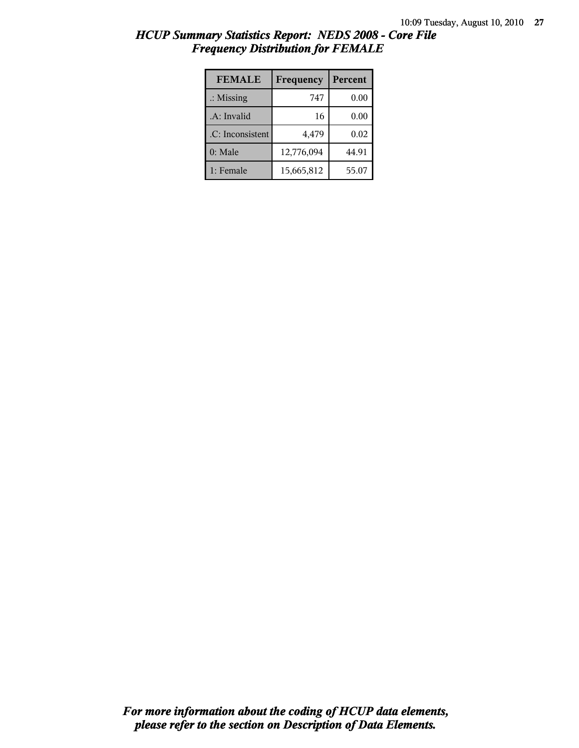| HCUP Summary Statistics Report: NEDS 2008 - Core File |  |
|-------------------------------------------------------|--|
| <b>Frequency Distribution for FEMALE</b>              |  |

| <b>FEMALE</b>        | Frequency  | Percent |
|----------------------|------------|---------|
| $\therefore$ Missing | 747        | 0.00    |
| .A: Invalid          | 16         | 0.00    |
| .C: Inconsistent     | 4,479      | 0.02    |
| $0:$ Male            | 12,776,094 | 44.91   |
| 1: Female            | 15,665,812 | 55.07   |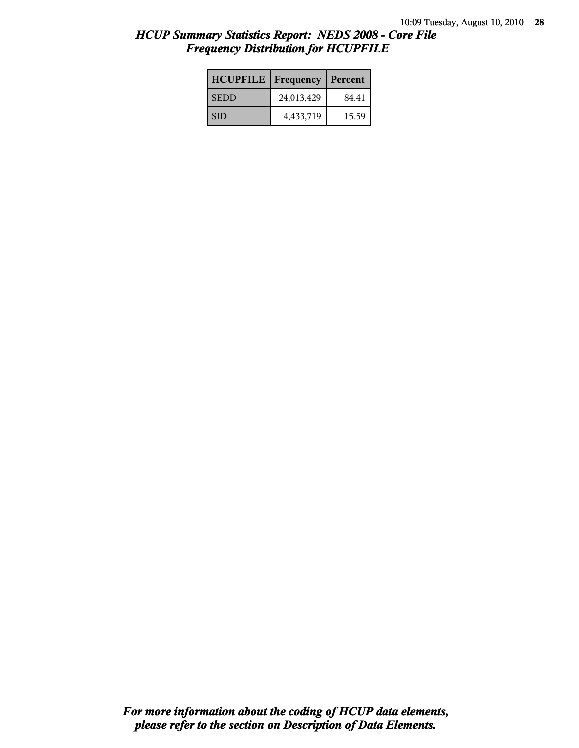| <b>HCUPFILE</b> | Frequency  | Percent |
|-----------------|------------|---------|
| <b>SEDD</b>     | 24,013,429 | 84.41   |
| <b>SID</b>      | 4,433,719  | 15.59   |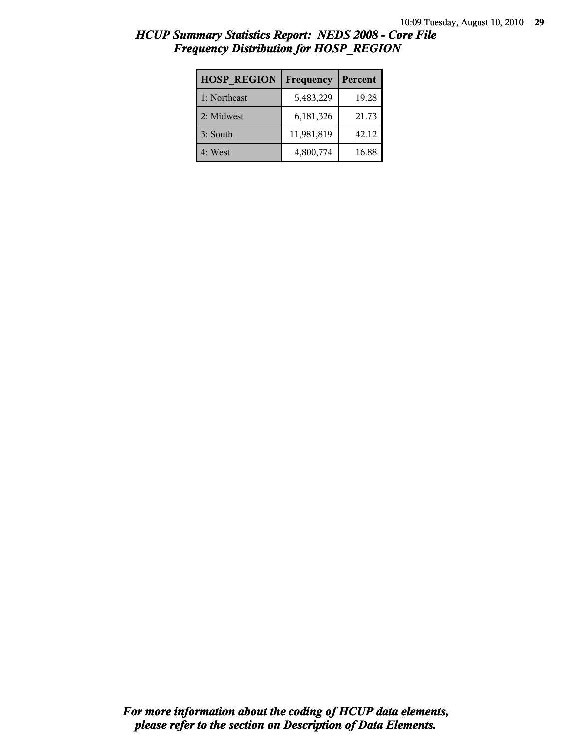| <b>HOSP REGION</b> | Frequency  | Percent |
|--------------------|------------|---------|
| 1: Northeast       | 5,483,229  | 19.28   |
| 2: Midwest         | 6,181,326  | 21.73   |
| 3: South           | 11,981,819 | 42.12   |
| 4: West            | 4,800,774  | 16.88   |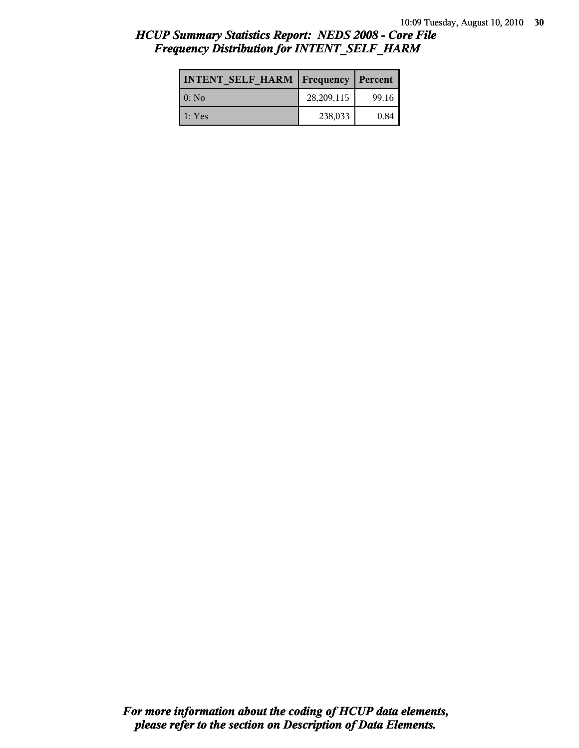| <b>INTENT SELF HARM   Frequency   Percent</b> |            |       |
|-----------------------------------------------|------------|-------|
| 0: No                                         | 28,209,115 | 99.16 |
| 1: Yes                                        | 238,033    | 0.84  |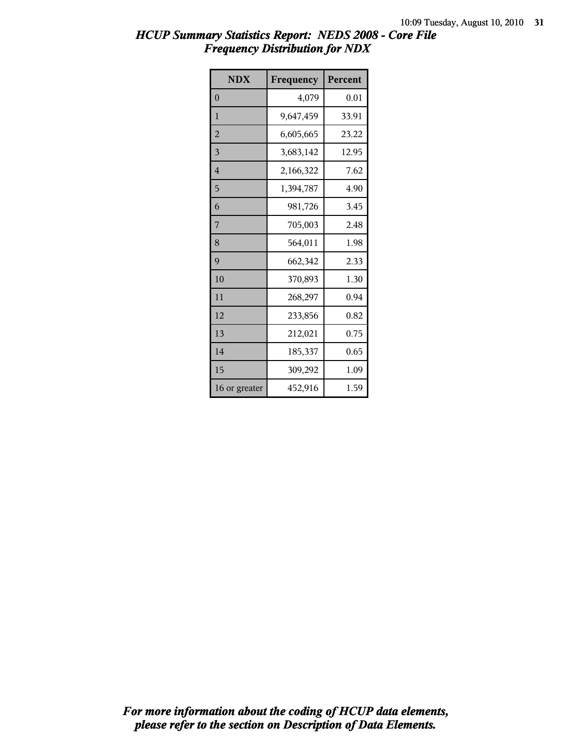| <b>NDX</b>     | Frequency | Percent |
|----------------|-----------|---------|
| $\theta$       | 4,079     | 0.01    |
| 1              | 9,647,459 | 33.91   |
| $\overline{2}$ | 6,605,665 | 23.22   |
| 3              | 3,683,142 | 12.95   |
| 4              | 2,166,322 | 7.62    |
| 5              | 1,394,787 | 4.90    |
| 6              | 981,726   | 3.45    |
| 7              | 705,003   | 2.48    |
| 8              | 564,011   | 1.98    |
| 9              | 662,342   | 2.33    |
| 10             | 370,893   | 1.30    |
| 11             | 268,297   | 0.94    |
| 12             | 233,856   | 0.82    |
| 13             | 212,021   | 0.75    |
| 14             | 185,337   | 0.65    |
| 15             | 309,292   | 1.09    |
| 16 or greater  | 452,916   | 1.59    |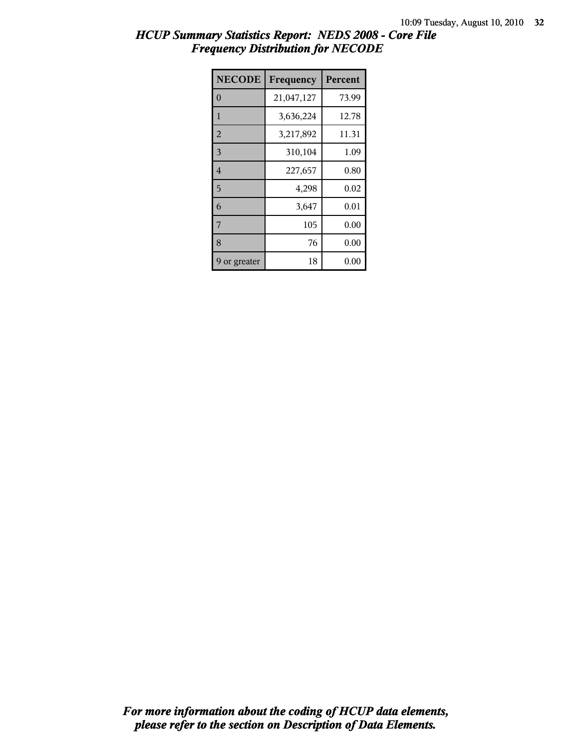| <b>NECODE</b>  | Frequency  | Percent |
|----------------|------------|---------|
| $\theta$       | 21,047,127 | 73.99   |
| $\mathbf{1}$   | 3,636,224  | 12.78   |
| $\overline{2}$ | 3,217,892  | 11.31   |
| 3              | 310,104    | 1.09    |
| $\overline{4}$ | 227,657    | 0.80    |
| 5              | 4,298      | 0.02    |
| 6              | 3,647      | 0.01    |
| $\overline{7}$ | 105        | 0.00    |
| 8              | 76         | 0.00    |
| or greater     | 18         | 0.00    |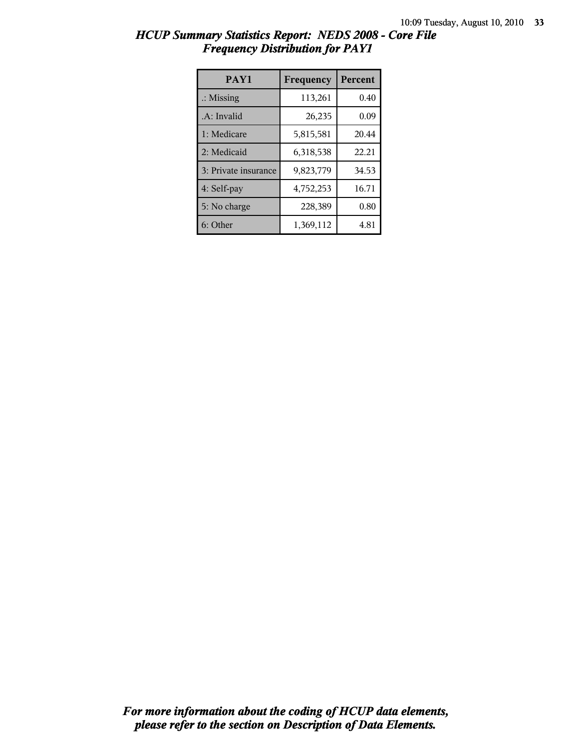| HCUP Summary Statistics Report: NEDS 2008 - Core File |  |  |
|-------------------------------------------------------|--|--|
| <b>Frequency Distribution for PAY1</b>                |  |  |

| PAY1                 | Frequency | Percent |
|----------------------|-----------|---------|
| $\therefore$ Missing | 113,261   | 0.40    |
| .A: Invalid          | 26,235    | 0.09    |
| 1: Medicare          | 5,815,581 | 20.44   |
| 2: Medicaid          | 6,318,538 | 22.21   |
| 3: Private insurance | 9,823,779 | 34.53   |
| 4: Self-pay          | 4,752,253 | 16.71   |
| 5: No charge         | 228,389   | 0.80    |
| 6: Other             | 1,369,112 | 4.81    |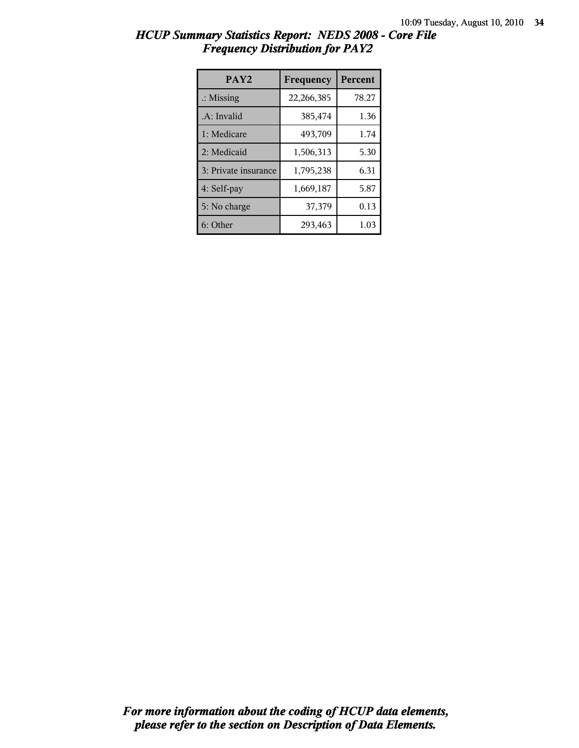| PAY <sub>2</sub>     | Frequency  | <b>Percent</b> |
|----------------------|------------|----------------|
| $\therefore$ Missing | 22,266,385 | 78.27          |
| .A: Invalid          | 385,474    | 1.36           |
| 1: Medicare          | 493,709    | 1.74           |
| 2: Medicaid          | 1,506,313  | 5.30           |
| 3: Private insurance | 1,795,238  | 6.31           |
| 4: Self-pay          | 1,669,187  | 5.87           |
| 5: No charge         | 37,379     | 0.13           |
| 6: Other             | 293,463    | 1.03           |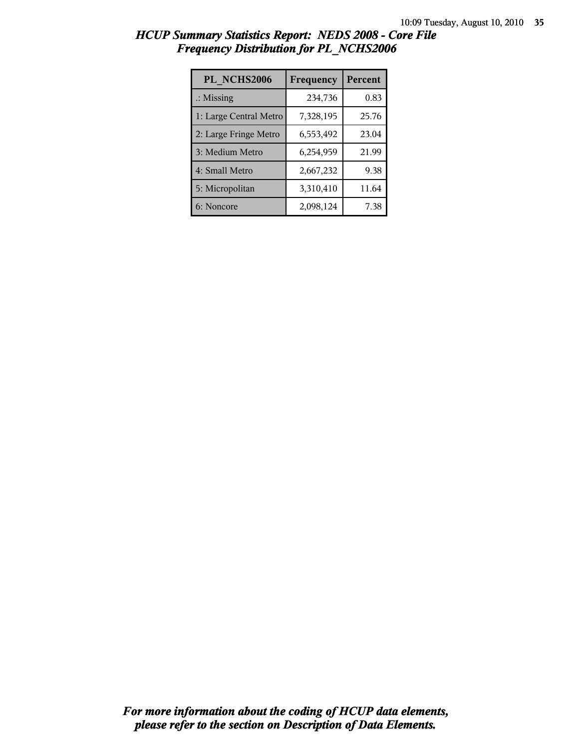| PL NCHS2006            | Frequency | Percent |
|------------------------|-----------|---------|
| $\therefore$ Missing   | 234,736   | 0.83    |
| 1: Large Central Metro | 7,328,195 | 25.76   |
| 2: Large Fringe Metro  | 6,553,492 | 23.04   |
| 3: Medium Metro        | 6,254,959 | 21.99   |
| 4: Small Metro         | 2,667,232 | 9.38    |
| 5: Micropolitan        | 3,310,410 | 11.64   |
| 6: Noncore             | 2,098,124 | 7.38    |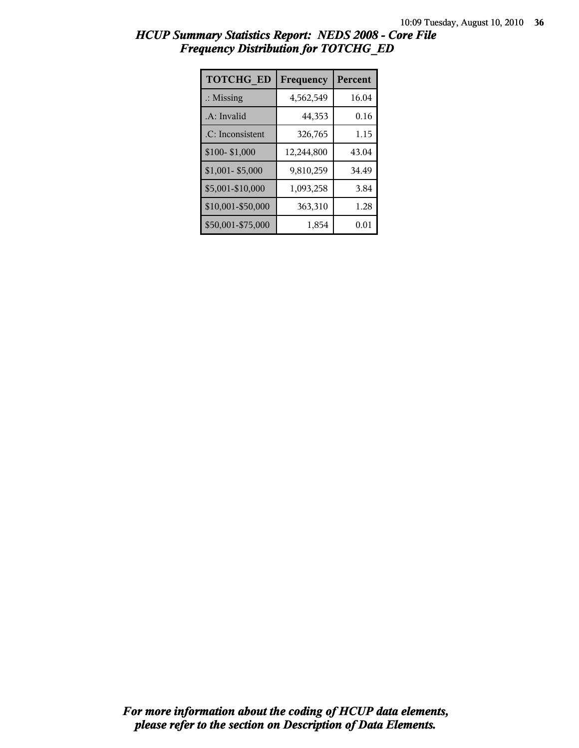| <b>TOTCHG ED</b>     | Frequency  | <b>Percent</b> |
|----------------------|------------|----------------|
| $\therefore$ Missing | 4,562,549  | 16.04          |
| .A: Invalid          | 44,353     | 0.16           |
| .C: Inconsistent     | 326,765    | 1.15           |
| \$100-\$1,000        | 12,244,800 | 43.04          |
| $$1,001 - $5,000$    | 9,810,259  | 34.49          |
| \$5,001-\$10,000     | 1,093,258  | 3.84           |
| \$10,001-\$50,000    | 363,310    | 1.28           |
| \$50,001-\$75,000    | 1,854      | 0.01           |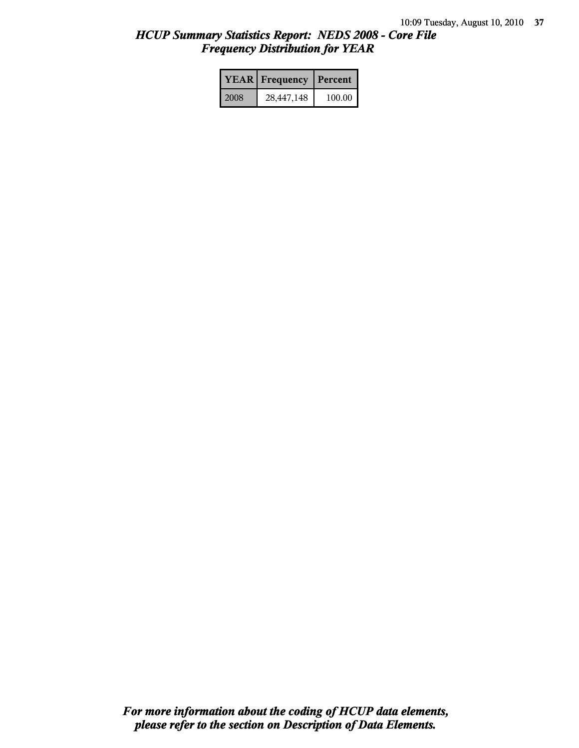|      | <b>YEAR</b> Frequency | Percent |  |
|------|-----------------------|---------|--|
| 2008 | 28,447,148            | 100.00  |  |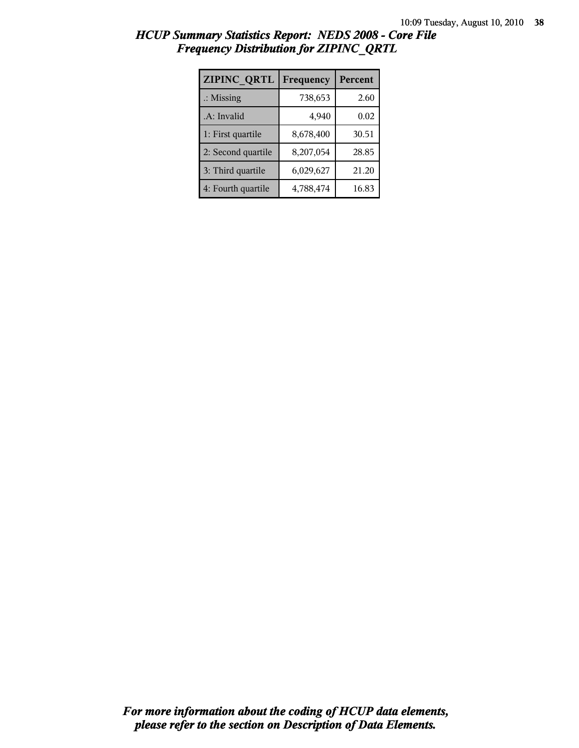| ZIPINC QRTL          | Frequency | Percent |
|----------------------|-----------|---------|
| $\therefore$ Missing | 738,653   | 2.60    |
| .A: Invalid          | 4,940     | 0.02    |
| 1: First quartile    | 8,678,400 | 30.51   |
| 2: Second quartile   | 8,207,054 | 28.85   |
| 3: Third quartile    | 6,029,627 | 21.20   |
| 4: Fourth quartile   | 4,788,474 | 16.83   |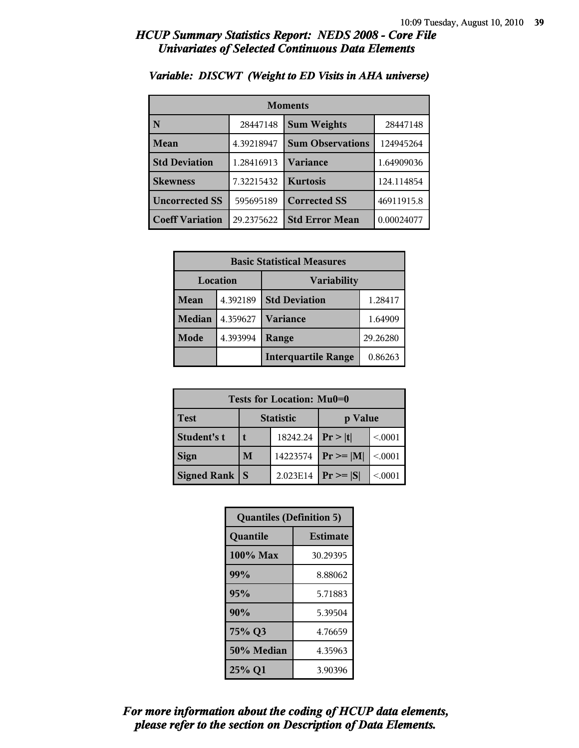| <b>Moments</b>                     |            |                         |            |
|------------------------------------|------------|-------------------------|------------|
| N                                  | 28447148   | <b>Sum Weights</b>      | 28447148   |
| Mean                               | 4.39218947 | <b>Sum Observations</b> |            |
| <b>Std Deviation</b>               | 1.28416913 | Variance                | 1.64909036 |
| <b>Skewness</b>                    | 7.32215432 | <b>Kurtosis</b>         | 124.114854 |
| <b>Uncorrected SS</b><br>595695189 |            | <b>Corrected SS</b>     | 46911915.8 |
| <b>Coeff Variation</b>             | 29.2375622 | <b>Std Error Mean</b>   | 0.00024077 |

### *Variable: DISCWT (Weight to ED Visits in AHA universe)*

| <b>Basic Statistical Measures</b> |          |                            |          |
|-----------------------------------|----------|----------------------------|----------|
| Location                          |          | <b>Variability</b>         |          |
| <b>Mean</b>                       | 4.392189 | <b>Std Deviation</b>       | 1.28417  |
| <b>Median</b>                     | 4.359627 | <b>Variance</b>            | 1.64909  |
| Mode                              | 4.393994 | Range                      | 29.26280 |
|                                   |          | <b>Interquartile Range</b> | 0.86263  |

| Tests for Location: Mu0=0 |   |                  |                |         |
|---------------------------|---|------------------|----------------|---------|
| <b>Test</b>               |   | <b>Statistic</b> | p Value        |         |
| Student's t               |   | 18242.24         | Pr >  t        | < 0001  |
| <b>Sign</b>               | M | 14223574         | $Pr \ge =  M $ | < 0.001 |
| Signed Rank               |   | 2.023E14         | $Pr \geq  S $  | < 0001  |

| <b>Quantiles (Definition 5)</b> |                 |  |
|---------------------------------|-----------------|--|
| Quantile                        | <b>Estimate</b> |  |
| 100% Max                        | 30.29395        |  |
| 99%                             | 8.88062         |  |
| 95%                             | 5.71883         |  |
| 90%                             | 5.39504         |  |
| 75% Q3                          | 4.76659         |  |
| 50% Median                      | 4.35963         |  |
| 25% Q1                          | 3.90396         |  |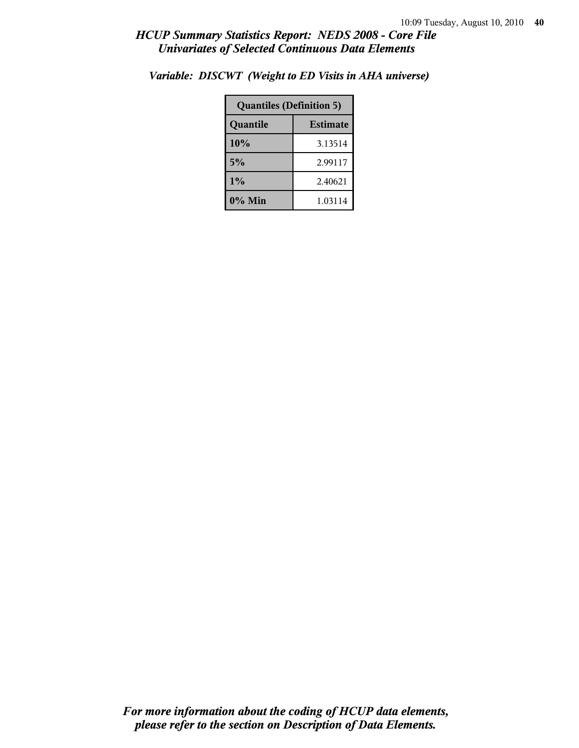| <b>Quantiles (Definition 5)</b> |         |  |
|---------------------------------|---------|--|
| <b>Estimate</b><br>Quantile     |         |  |
| 10%                             | 3.13514 |  |
| 5%                              | 2.99117 |  |
| 1%<br>2.40621                   |         |  |
| 0% Min<br>1.03114               |         |  |

*Variable: DISCWT (Weight to ED Visits in AHA universe)*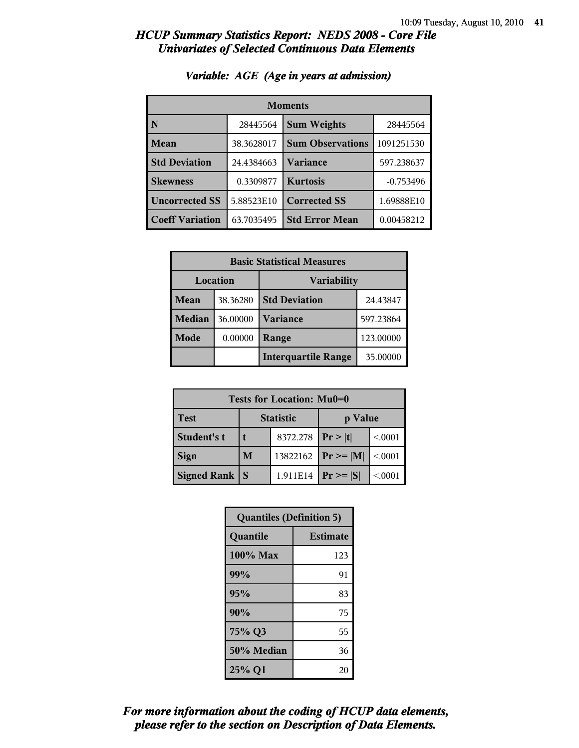| <b>Moments</b>         |            |                         |             |
|------------------------|------------|-------------------------|-------------|
| N                      | 28445564   | <b>Sum Weights</b>      | 28445564    |
| Mean                   | 38.3628017 | <b>Sum Observations</b> | 1091251530  |
| <b>Std Deviation</b>   | 24.4384663 | <b>Variance</b>         | 597.238637  |
| <b>Skewness</b>        | 0.3309877  | <b>Kurtosis</b>         | $-0.753496$ |
| <b>Uncorrected SS</b>  | 5.88523E10 | <b>Corrected SS</b>     | 1.69888E10  |
| <b>Coeff Variation</b> | 63.7035495 | <b>Std Error Mean</b>   | 0.00458212  |

### *Variable: AGE (Age in years at admission)*

| <b>Basic Statistical Measures</b> |          |                            |           |
|-----------------------------------|----------|----------------------------|-----------|
| Location<br><b>Variability</b>    |          |                            |           |
| Mean                              | 38.36280 | <b>Std Deviation</b>       | 24.43847  |
| <b>Median</b>                     | 36.00000 | Variance                   | 597.23864 |
| Mode                              | 0.00000  | 123.00000<br>Range         |           |
|                                   |          | <b>Interquartile Range</b> | 35.00000  |

| Tests for Location: Mu0=0 |                             |          |                |         |
|---------------------------|-----------------------------|----------|----------------|---------|
| <b>Test</b>               | <b>Statistic</b><br>p Value |          |                |         |
| Student's t               | 8372.278                    |          | Pr >  t        | < 0.001 |
| <b>Sign</b>               | 13822162<br>M               |          | $Pr \ge =  M $ | < 0.001 |
| Signed Rank               |                             | 1.911E14 | $Pr \geq  S $  | < 0001  |

| <b>Quantiles (Definition 5)</b> |                 |  |
|---------------------------------|-----------------|--|
| Quantile                        | <b>Estimate</b> |  |
| $100\%$ Max                     | 123             |  |
| 99%                             | 91              |  |
| 95%                             | 83              |  |
| 90%                             | 75              |  |
| 75% Q3<br>55                    |                 |  |
| 50% Median                      | 36              |  |
| 25% Q1<br>20                    |                 |  |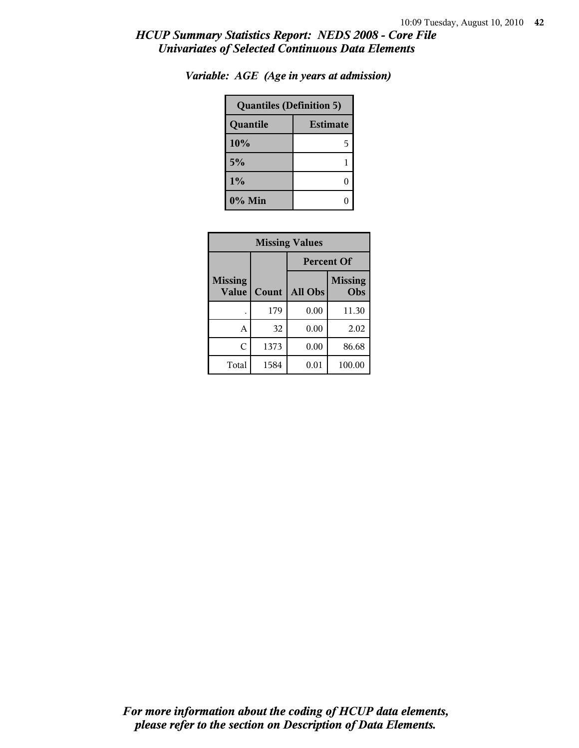| <b>Quantiles (Definition 5)</b> |   |  |
|---------------------------------|---|--|
| <b>Estimate</b><br>Quantile     |   |  |
| 10%                             | 5 |  |
| 5%                              |   |  |
| 1%                              |   |  |
| $0\%$ Min                       |   |  |

*Variable: AGE (Age in years at admission)*

| <b>Missing Values</b>          |       |         |                       |
|--------------------------------|-------|---------|-----------------------|
|                                |       |         | <b>Percent Of</b>     |
| <b>Missing</b><br><b>Value</b> | Count | All Obs | <b>Missing</b><br>Obs |
|                                | 179   | 0.00    | 11.30                 |
| А                              | 32    | 0.00    | 2.02                  |
| C                              | 1373  | 0.00    | 86.68                 |
| Total                          | 1584  | 0.01    | 100.00                |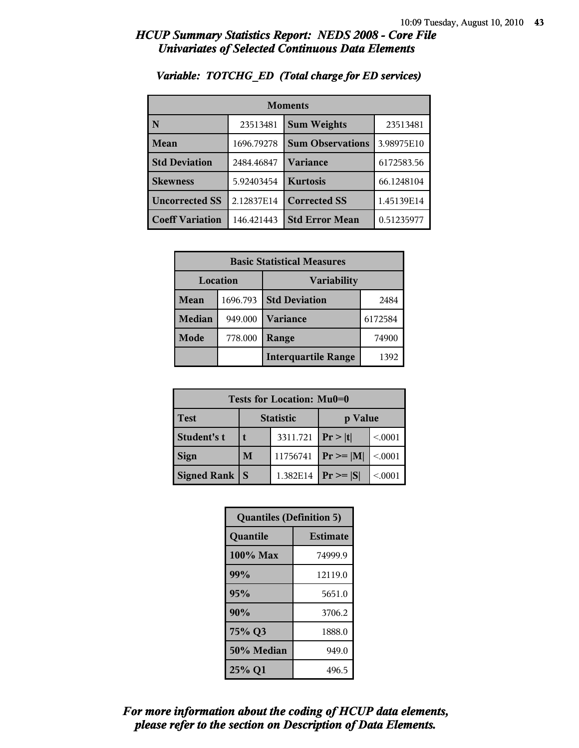| <b>Moments</b>         |            |                         |            |  |
|------------------------|------------|-------------------------|------------|--|
| N                      | 23513481   | <b>Sum Weights</b>      | 23513481   |  |
| Mean                   | 1696.79278 | <b>Sum Observations</b> | 3.98975E10 |  |
| <b>Std Deviation</b>   | 2484.46847 | Variance                | 6172583.56 |  |
| <b>Skewness</b>        | 5.92403454 | <b>Kurtosis</b>         | 66.1248104 |  |
| <b>Uncorrected SS</b>  | 2.12837E14 | <b>Corrected SS</b>     | 1.45139E14 |  |
| <b>Coeff Variation</b> | 146.421443 | <b>Std Error Mean</b>   | 0.51235977 |  |

### *Variable: TOTCHG\_ED (Total charge for ED services)*

| <b>Basic Statistical Measures</b> |          |                            |         |
|-----------------------------------|----------|----------------------------|---------|
| Location<br><b>Variability</b>    |          |                            |         |
| Mean                              | 1696.793 | <b>Std Deviation</b>       | 2484    |
| <b>Median</b>                     | 949.000  | <b>Variance</b>            | 6172584 |
| Mode                              | 778.000  | Range                      | 74900   |
|                                   |          | <b>Interquartile Range</b> | 1392    |

| Tests for Location: Mu0=0 |                             |          |               |         |
|---------------------------|-----------------------------|----------|---------------|---------|
| <b>Test</b>               | <b>Statistic</b><br>p Value |          |               |         |
| Student's t               | 3311.721                    |          | Pr >  t       | < 0.001 |
| <b>Sign</b>               | M                           | 11756741 | $Pr \ge  M $  | < 0.001 |
| <b>Signed Rank</b>        | $\mathbf S$                 | 1.382E14 | $Pr \geq  S $ | < 0001  |

| <b>Quantiles (Definition 5)</b> |                 |  |
|---------------------------------|-----------------|--|
| Quantile                        | <b>Estimate</b> |  |
| 100% Max                        | 74999.9         |  |
| 99%                             | 12119.0         |  |
| 95%                             | 5651.0          |  |
| 90%                             | 3706.2          |  |
| 75% Q3<br>1888.0                |                 |  |
| 50% Median                      | 949.0           |  |
| 25% Q1                          | 496.5           |  |